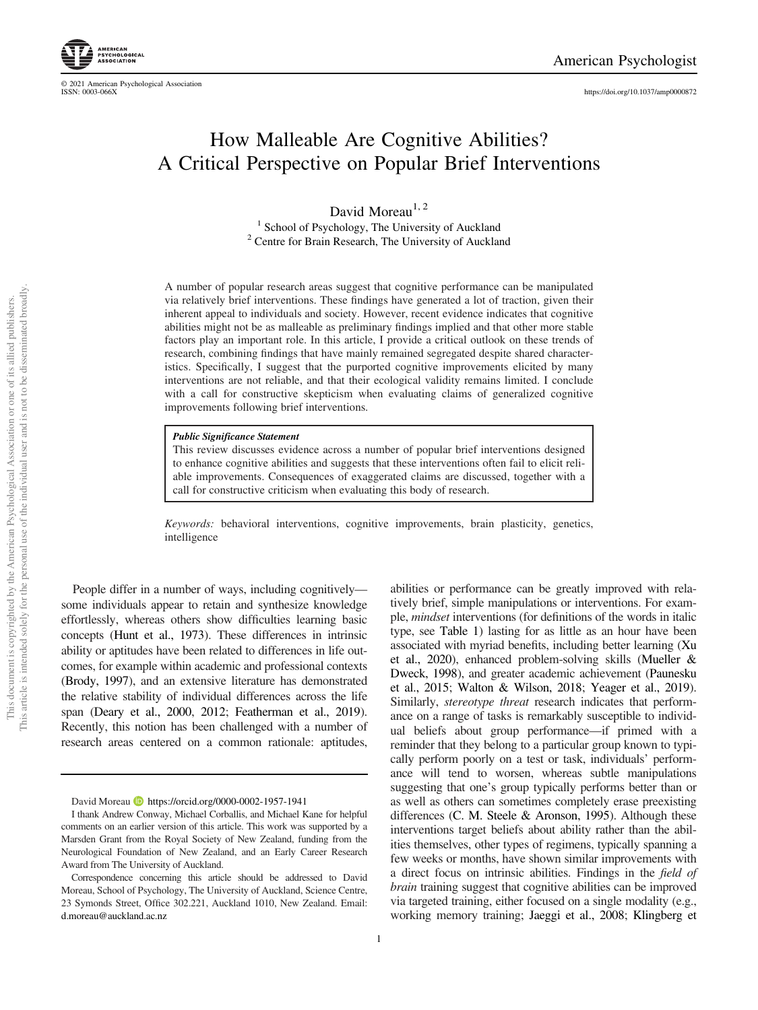https://doi.org/10.1037/amp0000872

# How Malleable Are Cognitive Abilities? A Critical Perspective on Popular Brief Interventions

David Moreau<sup>1, 2</sup> <sup>1</sup> School of Psychology, The University of Auckland <sup>2</sup> Centre for Brain Research, The University of Auckland

A number of popular research areas suggest that cognitive performance can be manipulated via relatively brief interventions. These findings have generated a lot of traction, given their inherent appeal to individuals and society. However, recent evidence indicates that cognitive abilities might not be as malleable as preliminary findings implied and that other more stable factors play an important role. In this article, I provide a critical outlook on these trends of research, combining findings that have mainly remained segregated despite shared characteristics. Specifically, I suggest that the purported cognitive improvements elicited by many interventions are not reliable, and that their ecological validity remains limited. I conclude with a call for constructive skepticism when evaluating claims of generalized cognitive improvements following brief interventions.

#### Public Significance Statement

This review discusses evidence across a number of popular brief interventions designed to enhance cognitive abilities and suggests that these interventions often fail to elicit reliable improvements. Consequences of exaggerated claims are discussed, together with a call for constructive criticism when evaluating this body of research.

*Keywords:* behavioral interventions, cognitive improvements, brain plasticity, genetics, intelligence

People differ in a number of ways, including cognitively some individuals appear to retain and synthesize knowledge effortlessly, whereas others show difficulties learning basic concepts (Hunt et al., 1973). These differences in intrinsic ability or aptitudes have been related to differences in life outcomes, for example within academic and professional contexts (Brody, 1997), and an extensive literature has demonstrated the relative stability of individual differences across the life span (Deary et al., 2000, 2012; Featherman et al., 2019). Recently, this notion has been challenged with a number of research areas centered on a common rationale: aptitudes,

1

abilities or performance can be greatly improved with relatively brief, simple manipulations or interventions. For example, *mindset* interventions (for definitions of the words in italic type, see Table 1) lasting for as little as an hour have been associated with myriad benefits, including better learning (Xu et al., 2020), enhanced problem-solving skills (Mueller & Dweck, 1998), and greater academic achievement (Paunesku et al., 2015; Walton & Wilson, 2018; Yeager et al., 2019). Similarly, *stereotype threat* research indicates that performance on a range of tasks is remarkably susceptible to individual beliefs about group performance—if primed with a reminder that they belong to a particular group known to typically perform poorly on a test or task, individuals' performance will tend to worsen, whereas subtle manipulations suggesting that one's group typically performs better than or as well as others can sometimes completely erase preexisting differences (C. M. Steele & Aronson, 1995). Although these interventions target beliefs about ability rather than the abilities themselves, other types of regimens, typically spanning a few weeks or months, have shown similar improvements with a direct focus on intrinsic abilities. Findings in the fi*eld of brain* training suggest that cognitive abilities can be improved via targeted training, either focused on a single modality (e.g., working memory training; Jaeggi et al., 2008; Klingberg et

© 2021 American Psychological Association

David Moreau **b** https://orcid.org/0000-0002-1957-1941

I thank Andrew Conway, Michael Corballis, and Michael Kane for helpful comments on an earlier version of this article. This work was supported by a Marsden Grant from the Royal Society of New Zealand, funding from the Neurological Foundation of New Zealand, and an Early Career Research Award from The University of Auckland.

Correspondence concerning this article should be addressed to David Moreau, School of Psychology, The University of Auckland, Science Centre, 23 Symonds Street, Office 302.221, Auckland 1010, New Zealand. Email: d.moreau@auckland.ac.nz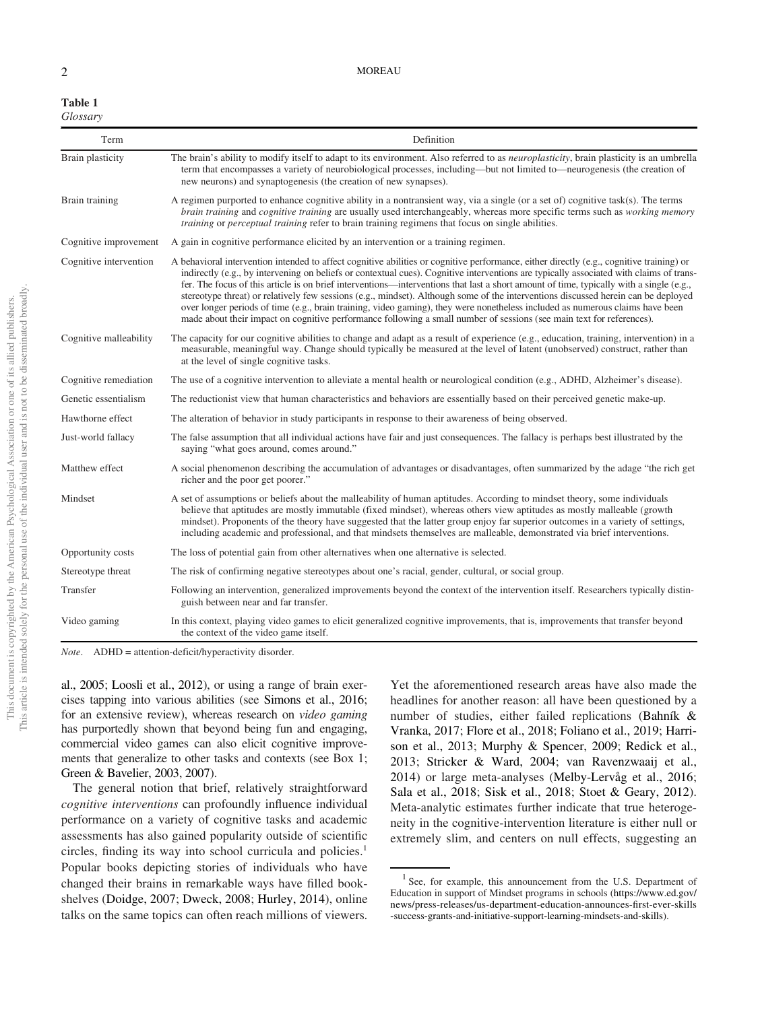| Table 1  |  |
|----------|--|
| Glossary |  |

| Term                   | Definition                                                                                                                                                                                                                                                                                                                                                                                                                                                                                                                                                                                                                                                                                                                                                                                                                     |
|------------------------|--------------------------------------------------------------------------------------------------------------------------------------------------------------------------------------------------------------------------------------------------------------------------------------------------------------------------------------------------------------------------------------------------------------------------------------------------------------------------------------------------------------------------------------------------------------------------------------------------------------------------------------------------------------------------------------------------------------------------------------------------------------------------------------------------------------------------------|
| Brain plasticity       | The brain's ability to modify itself to adapt to its environment. Also referred to as <i>neuroplasticity</i> , brain plasticity is an umbrella<br>term that encompasses a variety of neurobiological processes, including—but not limited to—neurogenesis (the creation of<br>new neurons) and synaptogenesis (the creation of new synapses).                                                                                                                                                                                                                                                                                                                                                                                                                                                                                  |
| Brain training         | A regimen purported to enhance cognitive ability in a nontransient way, via a single (or a set of) cognitive task(s). The terms<br>brain training and cognitive training are usually used interchangeably, whereas more specific terms such as working memory<br><i>training</i> or <i>perceptual training</i> refer to brain training regimens that focus on single abilities.                                                                                                                                                                                                                                                                                                                                                                                                                                                |
| Cognitive improvement  | A gain in cognitive performance elicited by an intervention or a training regimen.                                                                                                                                                                                                                                                                                                                                                                                                                                                                                                                                                                                                                                                                                                                                             |
| Cognitive intervention | A behavioral intervention intended to affect cognitive abilities or cognitive performance, either directly (e.g., cognitive training) or<br>indirectly (e.g., by intervening on beliefs or contextual cues). Cognitive interventions are typically associated with claims of trans-<br>fer. The focus of this article is on brief interventions—interventions that last a short amount of time, typically with a single (e.g.,<br>stereotype threat) or relatively few sessions (e.g., mindset). Although some of the interventions discussed herein can be deployed<br>over longer periods of time (e.g., brain training, video gaming), they were nonetheless included as numerous claims have been<br>made about their impact on cognitive performance following a small number of sessions (see main text for references). |
| Cognitive malleability | The capacity for our cognitive abilities to change and adapt as a result of experience (e.g., education, training, intervention) in a<br>measurable, meaningful way. Change should typically be measured at the level of latent (unobserved) construct, rather than<br>at the level of single cognitive tasks.                                                                                                                                                                                                                                                                                                                                                                                                                                                                                                                 |
| Cognitive remediation  | The use of a cognitive intervention to alleviate a mental health or neurological condition (e.g., ADHD, Alzheimer's disease).                                                                                                                                                                                                                                                                                                                                                                                                                                                                                                                                                                                                                                                                                                  |
| Genetic essentialism   | The reduction ist view that human characteristics and behaviors are essentially based on their perceived genetic make-up.                                                                                                                                                                                                                                                                                                                                                                                                                                                                                                                                                                                                                                                                                                      |
| Hawthorne effect       | The alteration of behavior in study participants in response to their awareness of being observed.                                                                                                                                                                                                                                                                                                                                                                                                                                                                                                                                                                                                                                                                                                                             |
| Just-world fallacy     | The false assumption that all individual actions have fair and just consequences. The fallacy is perhaps best illustrated by the<br>saying "what goes around, comes around."                                                                                                                                                                                                                                                                                                                                                                                                                                                                                                                                                                                                                                                   |
| Matthew effect         | A social phenomenon describing the accumulation of advantages or disadvantages, often summarized by the adage "the rich get<br>richer and the poor get poorer."                                                                                                                                                                                                                                                                                                                                                                                                                                                                                                                                                                                                                                                                |
| Mindset                | A set of assumptions or beliefs about the malleability of human aptitudes. According to mindset theory, some individuals<br>believe that aptitudes are mostly immutable (fixed mindset), whereas others view aptitudes as mostly malleable (growth<br>mindset). Proponents of the theory have suggested that the latter group enjoy far superior outcomes in a variety of settings,<br>including academic and professional, and that mindsets themselves are malleable, demonstrated via brief interventions.                                                                                                                                                                                                                                                                                                                  |
| Opportunity costs      | The loss of potential gain from other alternatives when one alternative is selected.                                                                                                                                                                                                                                                                                                                                                                                                                                                                                                                                                                                                                                                                                                                                           |
| Stereotype threat      | The risk of confirming negative stereotypes about one's racial, gender, cultural, or social group.                                                                                                                                                                                                                                                                                                                                                                                                                                                                                                                                                                                                                                                                                                                             |
| Transfer               | Following an intervention, generalized improvements beyond the context of the intervention itself. Researchers typically distin-<br>guish between near and far transfer.                                                                                                                                                                                                                                                                                                                                                                                                                                                                                                                                                                                                                                                       |
| Video gaming           | In this context, playing video games to elicit generalized cognitive improvements, that is, improvements that transfer beyond<br>the context of the video game itself.                                                                                                                                                                                                                                                                                                                                                                                                                                                                                                                                                                                                                                                         |

*Note*. ADHD = attention-deficit/hyperactivity disorder.

al., 2005; Loosli et al., 2012), or using a range of brain exercises tapping into various abilities (see Simons et al., 2016; for an extensive review), whereas research on *video gaming* has purportedly shown that beyond being fun and engaging, commercial video games can also elicit cognitive improvements that generalize to other tasks and contexts (see Box 1; Green & Bavelier, 2003, 2007).

The general notion that brief, relatively straightforward *cognitive interventions* can profoundly influence individual performance on a variety of cognitive tasks and academic assessments has also gained popularity outside of scientific circles, finding its way into school curricula and policies.<sup>1</sup> Popular books depicting stories of individuals who have changed their brains in remarkable ways have filled bookshelves (Doidge, 2007; Dweck, 2008; Hurley, 2014), online talks on the same topics can often reach millions of viewers.

Yet the aforementioned research areas have also made the headlines for another reason: all have been questioned by a number of studies, either failed replications (Bahník & Vranka, 2017; Flore et al., 2018; Foliano et al., 2019; Harrison et al., 2013; Murphy & Spencer, 2009; Redick et al., 2013; Stricker & Ward, 2004; van Ravenzwaaij et al., 2014) or large meta-analyses (Melby-Lervåg et al., 2016; Sala et al., 2018; Sisk et al., 2018; Stoet & Geary, 2012). Meta-analytic estimates further indicate that true heterogeneity in the cognitive-intervention literature is either null or extremely slim, and centers on null effects, suggesting an

<sup>&</sup>lt;sup>1</sup> See, for example, this announcement from the U.S. Department of Education in support of Mindset programs in schools (https://www.ed.gov/ news/press-releases/us-department-education-announces-first-ever-skills -success-grants-and-initiative-support-learning-mindsets-and-skills).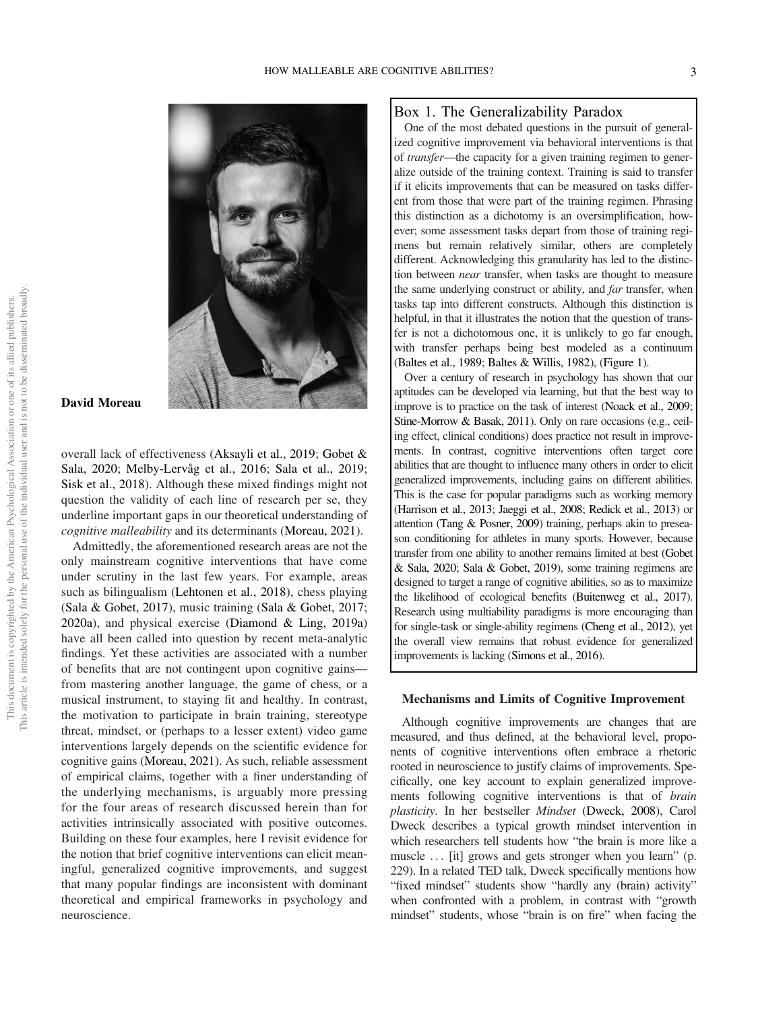

# David Moreau

overall lack of effectiveness (Aksayli et al., 2019; Gobet & Sala, 2020; Melby-Lervåg et al., 2016; Sala et al., 2019; Sisk et al., 2018). Although these mixed findings might not question the validity of each line of research per se, they underline important gaps in our theoretical understanding of *cognitive malleability* and its determinants (Moreau, 2021).

Admittedly, the aforementioned research areas are not the only mainstream cognitive interventions that have come under scrutiny in the last few years. For example, areas such as bilingualism (Lehtonen et al., 2018), chess playing (Sala & Gobet, 2017), music training (Sala & Gobet, 2017; 2020a), and physical exercise (Diamond & Ling, 2019a) have all been called into question by recent meta-analytic findings. Yet these activities are associated with a number of benefits that are not contingent upon cognitive gains from mastering another language, the game of chess, or a musical instrument, to staying fit and healthy. In contrast, the motivation to participate in brain training, stereotype threat, mindset, or (perhaps to a lesser extent) video game interventions largely depends on the scientific evidence for cognitive gains (Moreau, 2021). As such, reliable assessment of empirical claims, together with a finer understanding of the underlying mechanisms, is arguably more pressing for the four areas of research discussed herein than for activities intrinsically associated with positive outcomes. Building on these four examples, here I revisit evidence for the notion that brief cognitive interventions can elicit meaningful, generalized cognitive improvements, and suggest that many popular findings are inconsistent with dominant theoretical and empirical frameworks in psychology and neuroscience.

## Box 1. The Generalizability Paradox

One of the most debated questions in the pursuit of generalized cognitive improvement via behavioral interventions is that of *transfer*—the capacity for a given training regimen to generalize outside of the training context. Training is said to transfer if it elicits improvements that can be measured on tasks different from those that were part of the training regimen. Phrasing this distinction as a dichotomy is an oversimplification, however; some assessment tasks depart from those of training regimens but remain relatively similar, others are completely different. Acknowledging this granularity has led to the distinction between *near* transfer, when tasks are thought to measure the same underlying construct or ability, and *far* transfer, when tasks tap into different constructs. Although this distinction is helpful, in that it illustrates the notion that the question of transfer is not a dichotomous one, it is unlikely to go far enough, with transfer perhaps being best modeled as a continuum (Baltes et al., 1989; Baltes & Willis, 1982), (Figure 1).

Over a century of research in psychology has shown that our aptitudes can be developed via learning, but that the best way to improve is to practice on the task of interest (Noack et al., 2009; Stine-Morrow & Basak, 2011). Only on rare occasions (e.g., ceiling effect, clinical conditions) does practice not result in improvements. In contrast, cognitive interventions often target core abilities that are thought to influence many others in order to elicit generalized improvements, including gains on different abilities. This is the case for popular paradigms such as working memory (Harrison et al., 2013; Jaeggi et al., 2008; Redick et al., 2013) or attention (Tang & Posner, 2009) training, perhaps akin to preseason conditioning for athletes in many sports. However, because transfer from one ability to another remains limited at best (Gobet & Sala, 2020; Sala & Gobet, 2019), some training regimens are designed to target a range of cognitive abilities, so as to maximize the likelihood of ecological benefits (Buitenweg et al., 2017). Research using multiability paradigms is more encouraging than for single-task or single-ability regimens (Cheng et al., 2012), yet the overall view remains that robust evidence for generalized improvements is lacking (Simons et al., 2016).

#### Mechanisms and Limits of Cognitive Improvement

Although cognitive improvements are changes that are measured, and thus defined, at the behavioral level, proponents of cognitive interventions often embrace a rhetoric rooted in neuroscience to justify claims of improvements. Specifically, one key account to explain generalized improvements following cognitive interventions is that of *brain plasticity*. In her bestseller *Mindset* (Dweck, 2008), Carol Dweck describes a typical growth mindset intervention in which researchers tell students how "the brain is more like a muscle ... [it] grows and gets stronger when you learn" (p. 229). In a related TED talk, Dweck specifically mentions how "fixed mindset" students show "hardly any (brain) activity" when confronted with a problem, in contrast with "growth mindset" students, whose "brain is on fire" when facing the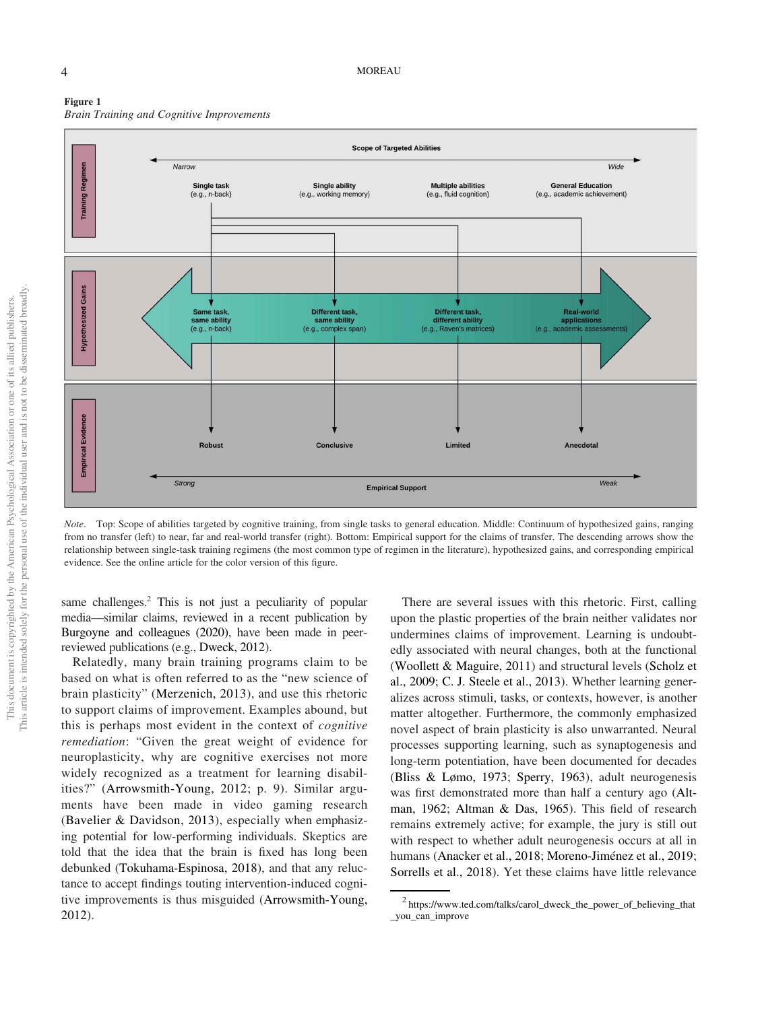



*Note*. Top: Scope of abilities targeted by cognitive training, from single tasks to general education. Middle: Continuum of hypothesized gains, ranging from no transfer (left) to near, far and real-world transfer (right). Bottom: Empirical support for the claims of transfer. The descending arrows show the relationship between single-task training regimens (the most common type of regimen in the literature), hypothesized gains, and corresponding empirical evidence. See the online article for the color version of this figure.

same challenges.<sup>2</sup> This is not just a peculiarity of popular media—similar claims, reviewed in a recent publication by Burgoyne and colleagues (2020), have been made in peerreviewed publications (e.g., Dweck, 2012).

Relatedly, many brain training programs claim to be based on what is often referred to as the "new science of brain plasticity" (Merzenich, 2013), and use this rhetoric to support claims of improvement. Examples abound, but this is perhaps most evident in the context of *cognitive remediation*: "Given the great weight of evidence for neuroplasticity, why are cognitive exercises not more widely recognized as a treatment for learning disabilities?" (Arrowsmith-Young, 2012; p. 9). Similar arguments have been made in video gaming research (Bavelier & Davidson, 2013), especially when emphasizing potential for low-performing individuals. Skeptics are told that the idea that the brain is fixed has long been debunked (Tokuhama-Espinosa, 2018), and that any reluctance to accept findings touting intervention-induced cognitive improvements is thus misguided (Arrowsmith-Young, 2012).

There are several issues with this rhetoric. First, calling upon the plastic properties of the brain neither validates nor undermines claims of improvement. Learning is undoubtedly associated with neural changes, both at the functional (Woollett & Maguire, 2011) and structural levels (Scholz et al., 2009; C. J. Steele et al., 2013). Whether learning generalizes across stimuli, tasks, or contexts, however, is another matter altogether. Furthermore, the commonly emphasized novel aspect of brain plasticity is also unwarranted. Neural processes supporting learning, such as synaptogenesis and long-term potentiation, have been documented for decades (Bliss & Lømo, 1973; Sperry, 1963), adult neurogenesis was first demonstrated more than half a century ago (Altman, 1962; Altman & Das, 1965). This field of research remains extremely active; for example, the jury is still out with respect to whether adult neurogenesis occurs at all in humans (Anacker et al., 2018; Moreno-Jiménez et al., 2019; Sorrells et al., 2018). Yet these claims have little relevance

<sup>2</sup> https://www.ted.com/talks/carol\_dweck\_the\_power\_of\_believing\_that \_you\_can\_improve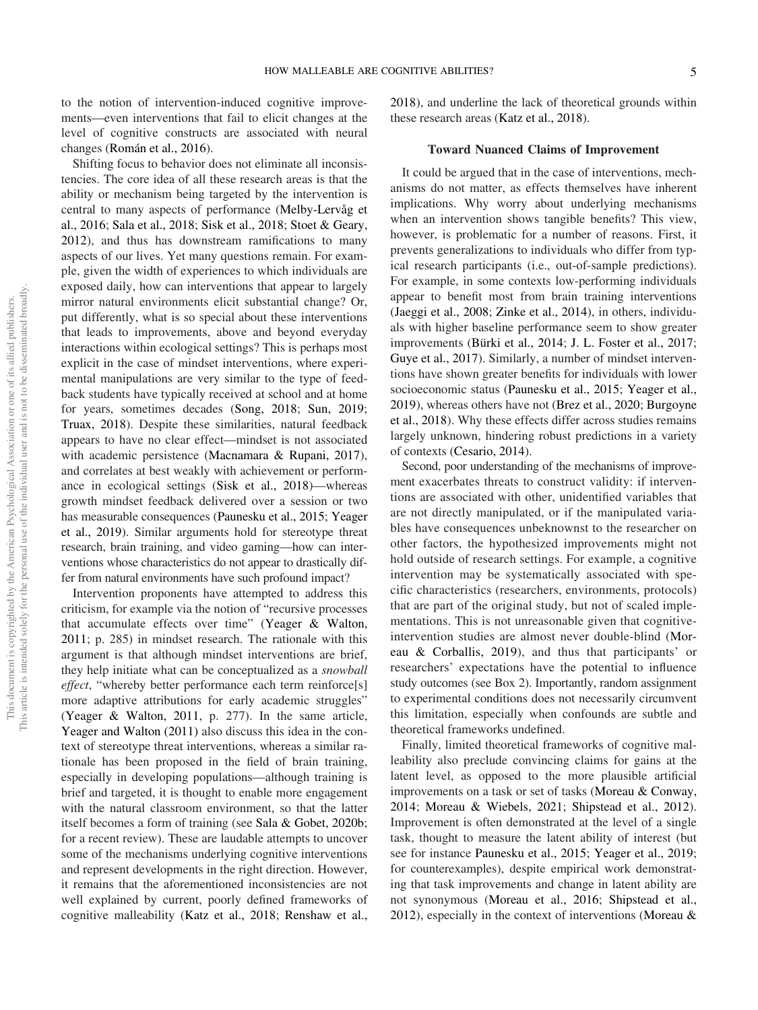to the notion of intervention-induced cognitive improvements—even interventions that fail to elicit changes at the level of cognitive constructs are associated with neural changes (Román et al., 2016).

Shifting focus to behavior does not eliminate all inconsistencies. The core idea of all these research areas is that the ability or mechanism being targeted by the intervention is central to many aspects of performance (Melby-Lervåg et al., 2016; Sala et al., 2018; Sisk et al., 2018; Stoet & Geary, 2012), and thus has downstream ramifications to many aspects of our lives. Yet many questions remain. For example, given the width of experiences to which individuals are exposed daily, how can interventions that appear to largely mirror natural environments elicit substantial change? Or, put differently, what is so special about these interventions that leads to improvements, above and beyond everyday interactions within ecological settings? This is perhaps most explicit in the case of mindset interventions, where experimental manipulations are very similar to the type of feedback students have typically received at school and at home for years, sometimes decades (Song, 2018; Sun, 2019; Truax, 2018). Despite these similarities, natural feedback appears to have no clear effect—mindset is not associated with academic persistence (Macnamara & Rupani, 2017), and correlates at best weakly with achievement or performance in ecological settings (Sisk et al., 2018)—whereas growth mindset feedback delivered over a session or two has measurable consequences (Paunesku et al., 2015; Yeager et al., 2019). Similar arguments hold for stereotype threat research, brain training, and video gaming—how can interventions whose characteristics do not appear to drastically differ from natural environments have such profound impact?

Intervention proponents have attempted to address this criticism, for example via the notion of "recursive processes that accumulate effects over time" (Yeager & Walton, 2011; p. 285) in mindset research. The rationale with this argument is that although mindset interventions are brief, they help initiate what can be conceptualized as a *snowball effect*, "whereby better performance each term reinforce[s] more adaptive attributions for early academic struggles" (Yeager & Walton, 2011, p. 277). In the same article, Yeager and Walton (2011) also discuss this idea in the context of stereotype threat interventions, whereas a similar rationale has been proposed in the field of brain training, especially in developing populations—although training is brief and targeted, it is thought to enable more engagement with the natural classroom environment, so that the latter itself becomes a form of training (see Sala & Gobet, 2020b; for a recent review). These are laudable attempts to uncover some of the mechanisms underlying cognitive interventions and represent developments in the right direction. However, it remains that the aforementioned inconsistencies are not well explained by current, poorly defined frameworks of cognitive malleability (Katz et al., 2018; Renshaw et al., 2018), and underline the lack of theoretical grounds within these research areas (Katz et al., 2018).

## Toward Nuanced Claims of Improvement

It could be argued that in the case of interventions, mechanisms do not matter, as effects themselves have inherent implications. Why worry about underlying mechanisms when an intervention shows tangible benefits? This view, however, is problematic for a number of reasons. First, it prevents generalizations to individuals who differ from typical research participants (i.e., out-of-sample predictions). For example, in some contexts low-performing individuals appear to benefit most from brain training interventions (Jaeggi et al., 2008; Zinke et al., 2014), in others, individuals with higher baseline performance seem to show greater improvements (Bürki et al., 2014; J. L. Foster et al., 2017; Guye et al., 2017). Similarly, a number of mindset interventions have shown greater benefits for individuals with lower socioeconomic status (Paunesku et al., 2015; Yeager et al., 2019), whereas others have not (Brez et al., 2020; Burgoyne et al., 2018). Why these effects differ across studies remains largely unknown, hindering robust predictions in a variety of contexts (Cesario, 2014).

Second, poor understanding of the mechanisms of improvement exacerbates threats to construct validity: if interventions are associated with other, unidentified variables that are not directly manipulated, or if the manipulated variables have consequences unbeknownst to the researcher on other factors, the hypothesized improvements might not hold outside of research settings. For example, a cognitive intervention may be systematically associated with specific characteristics (researchers, environments, protocols) that are part of the original study, but not of scaled implementations. This is not unreasonable given that cognitiveintervention studies are almost never double-blind (Moreau & Corballis, 2019), and thus that participants' or researchers' expectations have the potential to influence study outcomes (see Box 2). Importantly, random assignment to experimental conditions does not necessarily circumvent this limitation, especially when confounds are subtle and theoretical frameworks undefined.

Finally, limited theoretical frameworks of cognitive malleability also preclude convincing claims for gains at the latent level, as opposed to the more plausible artificial improvements on a task or set of tasks (Moreau & Conway, 2014; Moreau & Wiebels, 2021; Shipstead et al., 2012). Improvement is often demonstrated at the level of a single task, thought to measure the latent ability of interest (but see for instance Paunesku et al., 2015; Yeager et al., 2019; for counterexamples), despite empirical work demonstrating that task improvements and change in latent ability are not synonymous (Moreau et al., 2016; Shipstead et al., 2012), especially in the context of interventions (Moreau &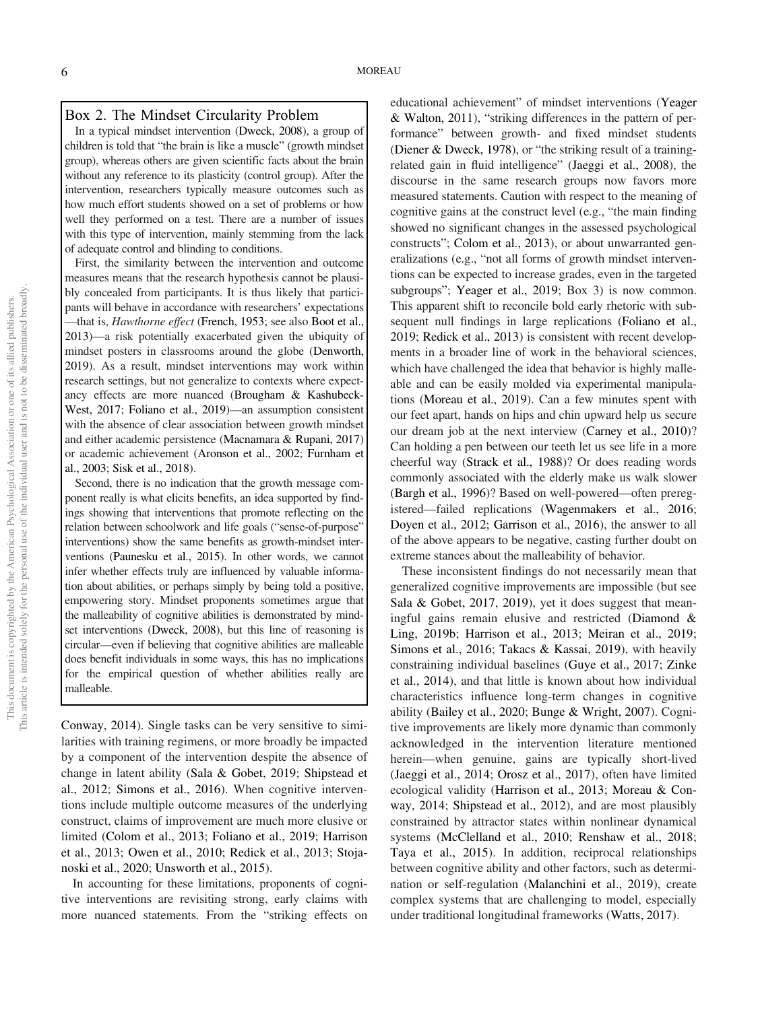# Box 2. The Mindset Circularity Problem

In a typical mindset intervention (Dweck, 2008), a group of children is told that "the brain is like a muscle" (growth mindset group), whereas others are given scientific facts about the brain without any reference to its plasticity (control group). After the intervention, researchers typically measure outcomes such as how much effort students showed on a set of problems or how well they performed on a test. There are a number of issues with this type of intervention, mainly stemming from the lack of adequate control and blinding to conditions.

First, the similarity between the intervention and outcome measures means that the research hypothesis cannot be plausibly concealed from participants. It is thus likely that participants will behave in accordance with researchers' expectations —that is, *Hawthorne effect* (French, 1953; see also Boot et al., 2013)—a risk potentially exacerbated given the ubiquity of mindset posters in classrooms around the globe (Denworth, 2019). As a result, mindset interventions may work within research settings, but not generalize to contexts where expectancy effects are more nuanced (Brougham & Kashubeck-West, 2017; Foliano et al., 2019)—an assumption consistent with the absence of clear association between growth mindset and either academic persistence (Macnamara & Rupani, 2017) or academic achievement (Aronson et al., 2002; Furnham et al., 2003; Sisk et al., 2018).

Second, there is no indication that the growth message component really is what elicits benefits, an idea supported by findings showing that interventions that promote reflecting on the relation between schoolwork and life goals ("sense-of-purpose" interventions) show the same benefits as growth-mindset interventions (Paunesku et al., 2015). In other words, we cannot infer whether effects truly are influenced by valuable information about abilities, or perhaps simply by being told a positive, empowering story. Mindset proponents sometimes argue that the malleability of cognitive abilities is demonstrated by mindset interventions (Dweck, 2008), but this line of reasoning is circular—even if believing that cognitive abilities are malleable does benefit individuals in some ways, this has no implications for the empirical question of whether abilities really are malleable.

Conway, 2014). Single tasks can be very sensitive to similarities with training regimens, or more broadly be impacted by a component of the intervention despite the absence of change in latent ability (Sala & Gobet, 2019; Shipstead et al., 2012; Simons et al., 2016). When cognitive interventions include multiple outcome measures of the underlying construct, claims of improvement are much more elusive or limited (Colom et al., 2013; Foliano et al., 2019; Harrison et al., 2013; Owen et al., 2010; Redick et al., 2013; Stojanoski et al., 2020; Unsworth et al., 2015).

In accounting for these limitations, proponents of cognitive interventions are revisiting strong, early claims with more nuanced statements. From the "striking effects on educational achievement" of mindset interventions (Yeager & Walton, 2011), "striking differences in the pattern of performance" between growth- and fixed mindset students (Diener & Dweck, 1978), or "the striking result of a trainingrelated gain in fluid intelligence" (Jaeggi et al., 2008), the discourse in the same research groups now favors more measured statements. Caution with respect to the meaning of cognitive gains at the construct level (e.g., "the main finding showed no significant changes in the assessed psychological constructs"; Colom et al., 2013), or about unwarranted generalizations (e.g., "not all forms of growth mindset interventions can be expected to increase grades, even in the targeted subgroups"; Yeager et al., 2019; Box 3) is now common. This apparent shift to reconcile bold early rhetoric with subsequent null findings in large replications (Foliano et al., 2019; Redick et al., 2013) is consistent with recent developments in a broader line of work in the behavioral sciences, which have challenged the idea that behavior is highly malleable and can be easily molded via experimental manipulations (Moreau et al., 2019). Can a few minutes spent with our feet apart, hands on hips and chin upward help us secure our dream job at the next interview (Carney et al., 2010)? Can holding a pen between our teeth let us see life in a more cheerful way (Strack et al., 1988)? Or does reading words commonly associated with the elderly make us walk slower (Bargh et al., 1996)? Based on well-powered—often preregistered—failed replications (Wagenmakers et al., 2016; Doyen et al., 2012; Garrison et al., 2016), the answer to all of the above appears to be negative, casting further doubt on extreme stances about the malleability of behavior.

These inconsistent findings do not necessarily mean that generalized cognitive improvements are impossible (but see Sala & Gobet, 2017, 2019), yet it does suggest that meaningful gains remain elusive and restricted (Diamond & Ling, 2019b; Harrison et al., 2013; Meiran et al., 2019; Simons et al., 2016; Takacs & Kassai, 2019), with heavily constraining individual baselines (Guye et al., 2017; Zinke et al., 2014), and that little is known about how individual characteristics influence long-term changes in cognitive ability (Bailey et al., 2020; Bunge & Wright, 2007). Cognitive improvements are likely more dynamic than commonly acknowledged in the intervention literature mentioned herein—when genuine, gains are typically short-lived (Jaeggi et al., 2014; Orosz et al., 2017), often have limited ecological validity (Harrison et al., 2013; Moreau & Conway, 2014; Shipstead et al., 2012), and are most plausibly constrained by attractor states within nonlinear dynamical systems (McClelland et al., 2010; Renshaw et al., 2018; Taya et al., 2015). In addition, reciprocal relationships between cognitive ability and other factors, such as determination or self-regulation (Malanchini et al., 2019), create complex systems that are challenging to model, especially under traditional longitudinal frameworks (Watts, 2017).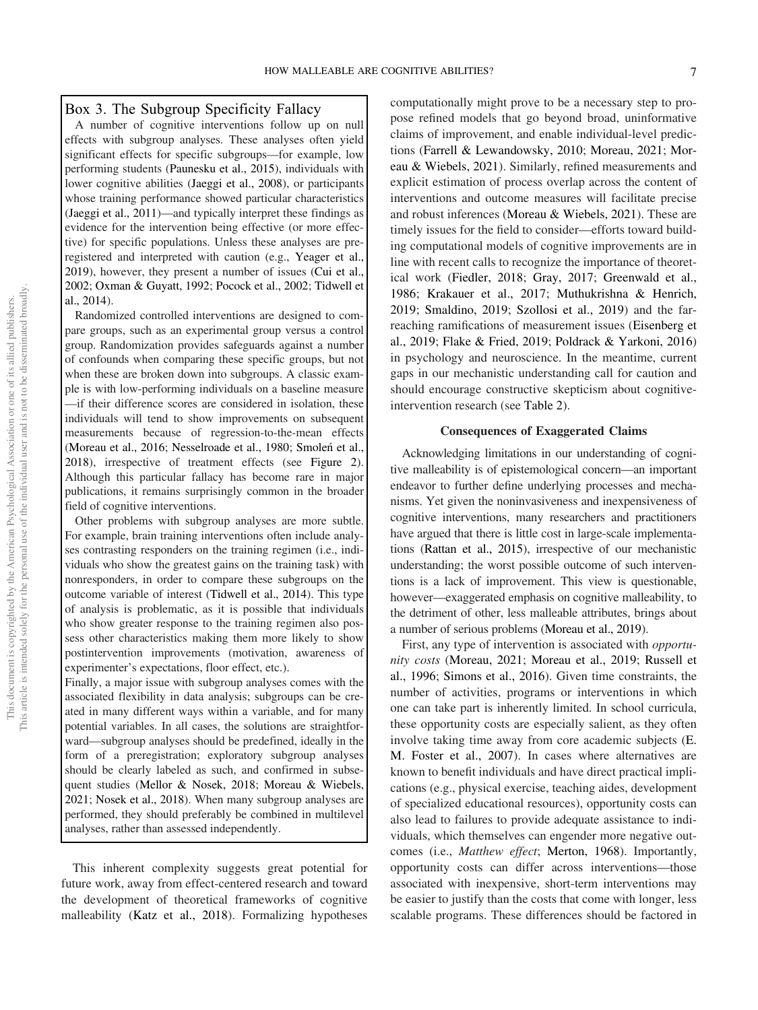## Box 3. The Subgroup Specificity Fallacy

A number of cognitive interventions follow up on null effects with subgroup analyses. These analyses often yield significant effects for specific subgroups—for example, low performing students (Paunesku et al., 2015), individuals with lower cognitive abilities (Jaeggi et al., 2008), or participants whose training performance showed particular characteristics (Jaeggi et al., 2011)—and typically interpret these findings as evidence for the intervention being effective (or more effective) for specific populations. Unless these analyses are preregistered and interpreted with caution (e.g., Yeager et al., 2019), however, they present a number of issues (Cui et al., 2002; Oxman & Guyatt, 1992; Pocock et al., 2002; Tidwell et al., 2014).

Randomized controlled interventions are designed to compare groups, such as an experimental group versus a control group. Randomization provides safeguards against a number of confounds when comparing these specific groups, but not when these are broken down into subgroups. A classic example is with low-performing individuals on a baseline measure —if their difference scores are considered in isolation, these individuals will tend to show improvements on subsequent measurements because of regression-to-the-mean effects (Moreau et al., 2016; Nesselroade et al., 1980; Smoleń et al., 2018), irrespective of treatment effects (see Figure 2). Although this particular fallacy has become rare in major publications, it remains surprisingly common in the broader field of cognitive interventions.

Other problems with subgroup analyses are more subtle. For example, brain training interventions often include analyses contrasting responders on the training regimen (i.e., individuals who show the greatest gains on the training task) with nonresponders, in order to compare these subgroups on the outcome variable of interest (Tidwell et al., 2014). This type of analysis is problematic, as it is possible that individuals who show greater response to the training regimen also possess other characteristics making them more likely to show postintervention improvements (motivation, awareness of experimenter's expectations, floor effect, etc.).

Finally, a major issue with subgroup analyses comes with the associated flexibility in data analysis; subgroups can be created in many different ways within a variable, and for many potential variables. In all cases, the solutions are straightforward—subgroup analyses should be predefined, ideally in the form of a preregistration; exploratory subgroup analyses should be clearly labeled as such, and confirmed in subsequent studies (Mellor & Nosek, 2018; Moreau & Wiebels, 2021; Nosek et al., 2018). When many subgroup analyses are performed, they should preferably be combined in multilevel analyses, rather than assessed independently.

This inherent complexity suggests great potential for future work, away from effect-centered research and toward the development of theoretical frameworks of cognitive malleability (Katz et al., 2018). Formalizing hypotheses computationally might prove to be a necessary step to propose refined models that go beyond broad, uninformative claims of improvement, and enable individual-level predictions (Farrell & Lewandowsky, 2010; Moreau, 2021; Moreau & Wiebels, 2021). Similarly, refined measurements and explicit estimation of process overlap across the content of interventions and outcome measures will facilitate precise and robust inferences (Moreau & Wiebels, 2021). These are timely issues for the field to consider—efforts toward building computational models of cognitive improvements are in line with recent calls to recognize the importance of theoretical work (Fiedler, 2018; Gray, 2017; Greenwald et al., 1986; Krakauer et al., 2017; Muthukrishna & Henrich, 2019; Smaldino, 2019; Szollosi et al., 2019) and the farreaching ramifications of measurement issues (Eisenberg et al., 2019; Flake & Fried, 2019; Poldrack & Yarkoni, 2016) in psychology and neuroscience. In the meantime, current gaps in our mechanistic understanding call for caution and should encourage constructive skepticism about cognitiveintervention research (see Table 2).

## Consequences of Exaggerated Claims

Acknowledging limitations in our understanding of cognitive malleability is of epistemological concern—an important endeavor to further define underlying processes and mechanisms. Yet given the noninvasiveness and inexpensiveness of cognitive interventions, many researchers and practitioners have argued that there is little cost in large-scale implementations (Rattan et al., 2015), irrespective of our mechanistic understanding; the worst possible outcome of such interventions is a lack of improvement. This view is questionable, however—exaggerated emphasis on cognitive malleability, to the detriment of other, less malleable attributes, brings about a number of serious problems (Moreau et al., 2019).

First, any type of intervention is associated with *opportunity costs* (Moreau, 2021; Moreau et al., 2019; Russell et al., 1996; Simons et al., 2016). Given time constraints, the number of activities, programs or interventions in which one can take part is inherently limited. In school curricula, these opportunity costs are especially salient, as they often involve taking time away from core academic subjects (E. M. Foster et al., 2007). In cases where alternatives are known to benefit individuals and have direct practical implications (e.g., physical exercise, teaching aides, development of specialized educational resources), opportunity costs can also lead to failures to provide adequate assistance to individuals, which themselves can engender more negative outcomes (i.e., *Matthew effect*; Merton, 1968). Importantly, opportunity costs can differ across interventions—those associated with inexpensive, short-term interventions may be easier to justify than the costs that come with longer, less scalable programs. These differences should be factored in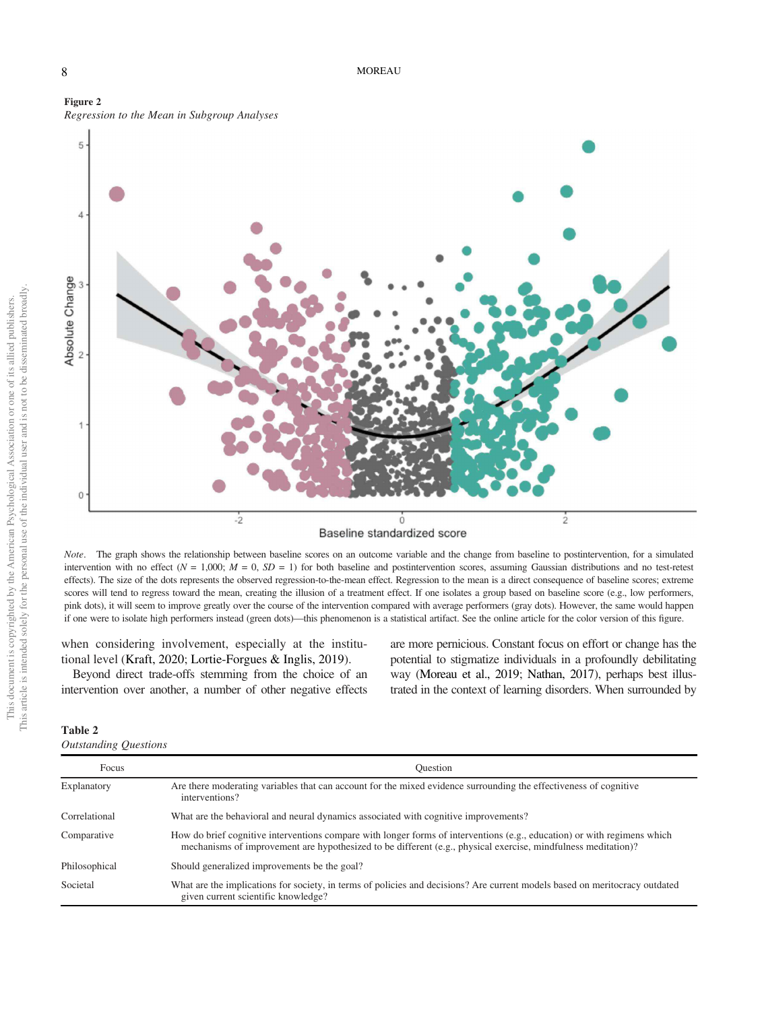



Baseline standardized score

*Note*. The graph shows the relationship between baseline scores on an outcome variable and the change from baseline to postintervention, for a simulated intervention with no effect  $(N = 1,000; M = 0, SD = 1)$  for both baseline and postintervention scores, assuming Gaussian distributions and no test-retest effects). The size of the dots represents the observed regression-to-the-mean effect. Regression to the mean is a direct consequence of baseline scores; extreme scores will tend to regress toward the mean, creating the illusion of a treatment effect. If one isolates a group based on baseline score (e.g., low performers, pink dots), it will seem to improve greatly over the course of the intervention compared with average performers (gray dots). However, the same would happen if one were to isolate high performers instead (green dots)—this phenomenon is a statistical artifact. See the online article for the color version of this figure.

when considering involvement, especially at the institutional level (Kraft, 2020; Lortie-Forgues & Inglis, 2019).

Beyond direct trade-offs stemming from the choice of an intervention over another, a number of other negative effects

are more pernicious. Constant focus on effort or change has the potential to stigmatize individuals in a profoundly debilitating way (Moreau et al., 2019; Nathan, 2017), perhaps best illustrated in the context of learning disorders. When surrounded by

# Table 2

| <b>Outstanding Questions</b> |  |
|------------------------------|--|
|------------------------------|--|

| Focus         | <b>Ouestion</b>                                                                                                                                                                                                                           |
|---------------|-------------------------------------------------------------------------------------------------------------------------------------------------------------------------------------------------------------------------------------------|
| Explanatory   | Are there moderating variables that can account for the mixed evidence surrounding the effectiveness of cognitive<br>interventions?                                                                                                       |
| Correlational | What are the behavioral and neural dynamics associated with cognitive improvements?                                                                                                                                                       |
| Comparative   | How do brief cognitive interventions compare with longer forms of interventions (e.g., education) or with regimens which<br>mechanisms of improvement are hypothesized to be different (e.g., physical exercise, mindfulness meditation)? |
| Philosophical | Should generalized improvements be the goal?                                                                                                                                                                                              |
| Societal      | What are the implications for society, in terms of policies and decisions? Are current models based on meritocracy outdated<br>given current scientific knowledge?                                                                        |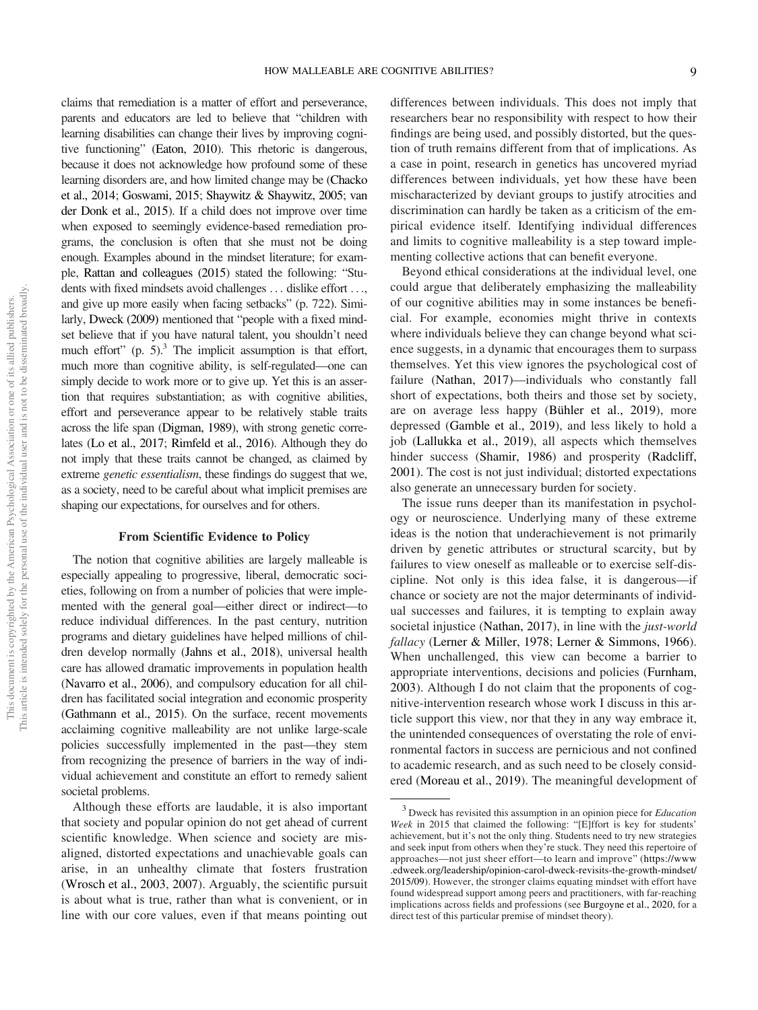claims that remediation is a matter of effort and perseverance, parents and educators are led to believe that "children with learning disabilities can change their lives by improving cognitive functioning" (Eaton, 2010). This rhetoric is dangerous, because it does not acknowledge how profound some of these learning disorders are, and how limited change may be (Chacko et al., 2014; Goswami, 2015; Shaywitz & Shaywitz, 2005; van der Donk et al., 2015). If a child does not improve over time when exposed to seemingly evidence-based remediation programs, the conclusion is often that she must not be doing enough. Examples abound in the mindset literature; for example, Rattan and colleagues (2015) stated the following: "Students with fixed mindsets avoid challenges ... dislike effort ..., and give up more easily when facing setbacks" (p. 722). Similarly, Dweck (2009) mentioned that "people with a fixed mindset believe that if you have natural talent, you shouldn't need much effort"  $(p. 5)^3$ . The implicit assumption is that effort, much more than cognitive ability, is self-regulated—one can simply decide to work more or to give up. Yet this is an assertion that requires substantiation; as with cognitive abilities, effort and perseverance appear to be relatively stable traits across the life span (Digman, 1989), with strong genetic correlates (Lo et al., 2017; Rimfeld et al., 2016). Although they do not imply that these traits cannot be changed, as claimed by extreme *genetic essentialism*, these findings do suggest that we, as a society, need to be careful about what implicit premises are shaping our expectations, for ourselves and for others.

#### From Scientific Evidence to Policy

The notion that cognitive abilities are largely malleable is especially appealing to progressive, liberal, democratic societies, following on from a number of policies that were implemented with the general goal—either direct or indirect—to reduce individual differences. In the past century, nutrition programs and dietary guidelines have helped millions of children develop normally (Jahns et al., 2018), universal health care has allowed dramatic improvements in population health (Navarro et al., 2006), and compulsory education for all children has facilitated social integration and economic prosperity (Gathmann et al., 2015). On the surface, recent movements acclaiming cognitive malleability are not unlike large-scale policies successfully implemented in the past—they stem from recognizing the presence of barriers in the way of individual achievement and constitute an effort to remedy salient societal problems.

Although these efforts are laudable, it is also important that society and popular opinion do not get ahead of current scientific knowledge. When science and society are misaligned, distorted expectations and unachievable goals can arise, in an unhealthy climate that fosters frustration (Wrosch et al., 2003, 2007). Arguably, the scientific pursuit is about what is true, rather than what is convenient, or in line with our core values, even if that means pointing out differences between individuals. This does not imply that researchers bear no responsibility with respect to how their findings are being used, and possibly distorted, but the question of truth remains different from that of implications. As a case in point, research in genetics has uncovered myriad differences between individuals, yet how these have been mischaracterized by deviant groups to justify atrocities and discrimination can hardly be taken as a criticism of the empirical evidence itself. Identifying individual differences and limits to cognitive malleability is a step toward implementing collective actions that can benefit everyone.

Beyond ethical considerations at the individual level, one could argue that deliberately emphasizing the malleability of our cognitive abilities may in some instances be beneficial. For example, economies might thrive in contexts where individuals believe they can change beyond what science suggests, in a dynamic that encourages them to surpass themselves. Yet this view ignores the psychological cost of failure (Nathan, 2017)—individuals who constantly fall short of expectations, both theirs and those set by society, are on average less happy (Bühler et al., 2019), more depressed (Gamble et al., 2019), and less likely to hold a job (Lallukka et al., 2019), all aspects which themselves hinder success (Shamir, 1986) and prosperity (Radcliff, 2001). The cost is not just individual; distorted expectations also generate an unnecessary burden for society.

The issue runs deeper than its manifestation in psychology or neuroscience. Underlying many of these extreme ideas is the notion that underachievement is not primarily driven by genetic attributes or structural scarcity, but by failures to view oneself as malleable or to exercise self-discipline. Not only is this idea false, it is dangerous—if chance or society are not the major determinants of individual successes and failures, it is tempting to explain away societal injustice (Nathan, 2017), in line with the *just-world fallacy* (Lerner & Miller, 1978; Lerner & Simmons, 1966). When unchallenged, this view can become a barrier to appropriate interventions, decisions and policies (Furnham, 2003). Although I do not claim that the proponents of cognitive-intervention research whose work I discuss in this article support this view, nor that they in any way embrace it, the unintended consequences of overstating the role of environmental factors in success are pernicious and not confined to academic research, and as such need to be closely considered (Moreau et al., 2019). The meaningful development of

<sup>3</sup> Dweck has revisited this assumption in an opinion piece for *Education Week* in 2015 that claimed the following: "[E]ffort is key for students' achievement, but it's not the only thing. Students need to try new strategies and seek input from others when they're stuck. They need this repertoire of approaches—not just sheer effort—to learn and improve" (https://www .edweek.org/leadership/opinion-carol-dweck-revisits-the-growth-mindset/ 2015/09). However, the stronger claims equating mindset with effort have found widespread support among peers and practitioners, with far-reaching implications across fields and professions (see Burgoyne et al., 2020, for a direct test of this particular premise of mindset theory).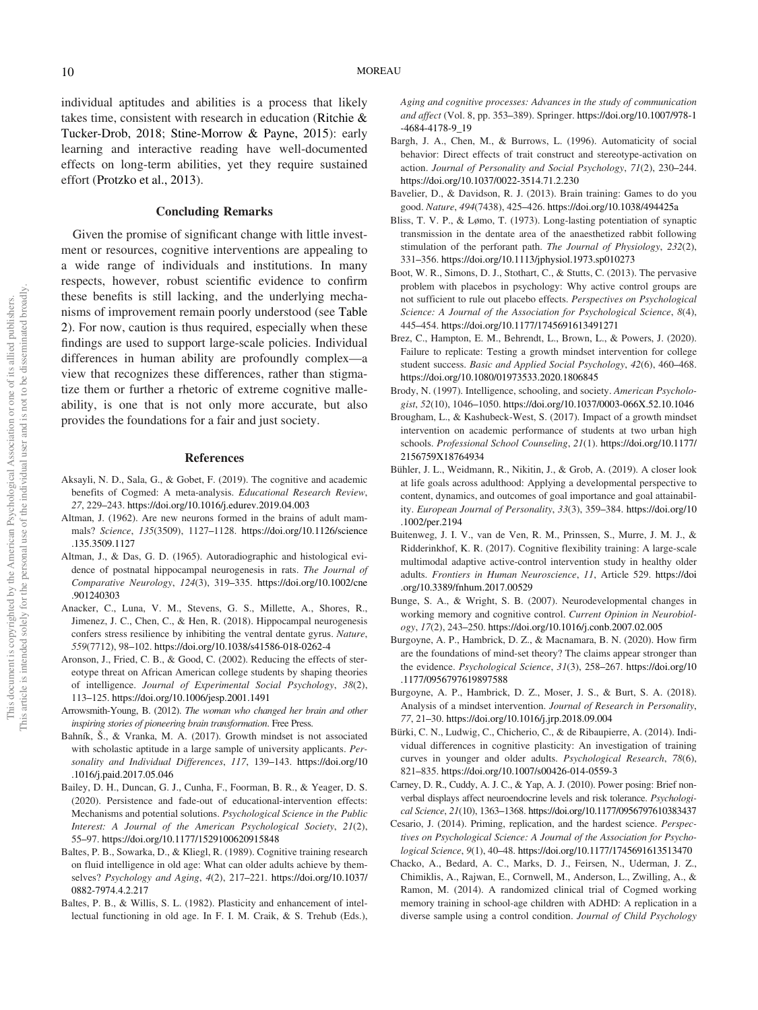individual aptitudes and abilities is a process that likely takes time, consistent with research in education (Ritchie & Tucker-Drob, 2018; Stine-Morrow & Payne, 2015): early learning and interactive reading have well-documented effects on long-term abilities, yet they require sustained effort (Protzko et al., 2013).

#### Concluding Remarks

Given the promise of significant change with little investment or resources, cognitive interventions are appealing to a wide range of individuals and institutions. In many respects, however, robust scientific evidence to confirm these benefits is still lacking, and the underlying mechanisms of improvement remain poorly understood (see Table 2). For now, caution is thus required, especially when these findings are used to support large-scale policies. Individual differences in human ability are profoundly complex—a view that recognizes these differences, rather than stigmatize them or further a rhetoric of extreme cognitive malleability, is one that is not only more accurate, but also provides the foundations for a fair and just society.

#### References

- Aksayli, N. D., Sala, G., & Gobet, F. (2019). The cognitive and academic benefits of Cogmed: A meta-analysis. *Educational Research Review*, *27*, 229–243. https://doi.org/10.1016/j.edurev.2019.04.003
- Altman, J. (1962). Are new neurons formed in the brains of adult mammals? *Science*, *135*(3509), 1127–1128. https://doi.org/10.1126/science .135.3509.1127
- Altman, J., & Das, G. D. (1965). Autoradiographic and histological evidence of postnatal hippocampal neurogenesis in rats. *The Journal of Comparative Neurology*, *124*(3), 319–335. https://doi.org/10.1002/cne .901240303
- Anacker, C., Luna, V. M., Stevens, G. S., Millette, A., Shores, R., Jimenez, J. C., Chen, C., & Hen, R. (2018). Hippocampal neurogenesis confers stress resilience by inhibiting the ventral dentate gyrus. *Nature*, *559*(7712), 98–102. https://doi.org/10.1038/s41586-018-0262-4
- Aronson, J., Fried, C. B., & Good, C. (2002). Reducing the effects of stereotype threat on African American college students by shaping theories of intelligence. *Journal of Experimental Social Psychology*, *38*(2), 113–125. https://doi.org/10.1006/jesp.2001.1491
- Arrowsmith-Young, B. (2012). *The woman who changed her brain and other inspiring stories of pioneering brain transformation*. Free Press.
- Bahník, Š., & Vranka, M. A. (2017). Growth mindset is not associated with scholastic aptitude in a large sample of university applicants. *Personality and Individual Differences*, *117*, 139–143. https://doi.org/10 .1016/j.paid.2017.05.046
- Bailey, D. H., Duncan, G. J., Cunha, F., Foorman, B. R., & Yeager, D. S. (2020). Persistence and fade-out of educational-intervention effects: Mechanisms and potential solutions. *Psychological Science in the Public Interest: A Journal of the American Psychological Society*, *21*(2), 55–97. https://doi.org/10.1177/1529100620915848
- Baltes, P. B., Sowarka, D., & Kliegl, R. (1989). Cognitive training research on fluid intelligence in old age: What can older adults achieve by themselves? *Psychology and Aging*, *4*(2), 217–221. https://doi.org/10.1037/ 0882-7974.4.2.217
- Baltes, P. B., & Willis, S. L. (1982). Plasticity and enhancement of intellectual functioning in old age. In F. I. M. Craik, & S. Trehub (Eds.),

*Aging and cognitive processes: Advances in the study of communication and affect* (Vol. 8, pp. 353–389). Springer. https://doi.org/10.1007/978-1 -4684-4178-9\_19

- Bargh, J. A., Chen, M., & Burrows, L. (1996). Automaticity of social behavior: Direct effects of trait construct and stereotype-activation on action. *Journal of Personality and Social Psychology*, *71*(2), 230–244. https://doi.org/10.1037/0022-3514.71.2.230
- Bavelier, D., & Davidson, R. J. (2013). Brain training: Games to do you good. *Nature*, *494*(7438), 425–426. https://doi.org/10.1038/494425a
- Bliss, T. V. P., & Lømo, T. (1973). Long-lasting potentiation of synaptic transmission in the dentate area of the anaesthetized rabbit following stimulation of the perforant path. *The Journal of Physiology*, *232*(2), 331–356. https://doi.org/10.1113/jphysiol.1973.sp010273
- Boot, W. R., Simons, D. J., Stothart, C., & Stutts, C. (2013). The pervasive problem with placebos in psychology: Why active control groups are not sufficient to rule out placebo effects. *Perspectives on Psychological Science: A Journal of the Association for Psychological Science*, *8*(4), 445–454. https://doi.org/10.1177/1745691613491271
- Brez, C., Hampton, E. M., Behrendt, L., Brown, L., & Powers, J. (2020). Failure to replicate: Testing a growth mindset intervention for college student success. *Basic and Applied Social Psychology*, *42*(6), 460–468. https://doi.org/10.1080/01973533.2020.1806845
- Brody, N. (1997). Intelligence, schooling, and society. *American Psychologist*, *52*(10), 1046–1050. https://doi.org/10.1037/0003-066X.52.10.1046
- Brougham, L., & Kashubeck-West, S. (2017). Impact of a growth mindset intervention on academic performance of students at two urban high schools. *Professional School Counseling*, *21*(1). https://doi.org/10.1177/ 2156759X18764934
- Bühler, J. L., Weidmann, R., Nikitin, J., & Grob, A. (2019). A closer look at life goals across adulthood: Applying a developmental perspective to content, dynamics, and outcomes of goal importance and goal attainability. *European Journal of Personality*, *33*(3), 359–384. https://doi.org/10 .1002/per.2194
- Buitenweg, J. I. V., van de Ven, R. M., Prinssen, S., Murre, J. M. J., & Ridderinkhof, K. R. (2017). Cognitive flexibility training: A large-scale multimodal adaptive active-control intervention study in healthy older adults. *Frontiers in Human Neuroscience*, *11*, Article 529. https://doi .org/10.3389/fnhum.2017.00529
- Bunge, S. A., & Wright, S. B. (2007). Neurodevelopmental changes in working memory and cognitive control. *Current Opinion in Neurobiology*, *17*(2), 243–250. https://doi.org/10.1016/j.conb.2007.02.005
- Burgoyne, A. P., Hambrick, D. Z., & Macnamara, B. N. (2020). How firm are the foundations of mind-set theory? The claims appear stronger than the evidence. *Psychological Science*, *31*(3), 258–267. https://doi.org/10 .1177/0956797619897588
- Burgoyne, A. P., Hambrick, D. Z., Moser, J. S., & Burt, S. A. (2018). Analysis of a mindset intervention. *Journal of Research in Personality*, *77*, 21–30. https://doi.org/10.1016/j.jrp.2018.09.004
- Bürki, C. N., Ludwig, C., Chicherio, C., & de Ribaupierre, A. (2014). Individual differences in cognitive plasticity: An investigation of training curves in younger and older adults. *Psychological Research*, *78*(6), 821–835. https://doi.org/10.1007/s00426-014-0559-3
- Carney, D. R., Cuddy, A. J. C., & Yap, A. J. (2010). Power posing: Brief nonverbal displays affect neuroendocrine levels and risk tolerance. *Psychological Science*, *21*(10), 1363–1368. https://doi.org/10.1177/0956797610383437
- Cesario, J. (2014). Priming, replication, and the hardest science. *Perspectives on Psychological Science: A Journal of the Association for Psychological Science*, *9*(1), 40–48. https://doi.org/10.1177/1745691613513470
- Chacko, A., Bedard, A. C., Marks, D. J., Feirsen, N., Uderman, J. Z., Chimiklis, A., Rajwan, E., Cornwell, M., Anderson, L., Zwilling, A., & Ramon, M. (2014). A randomized clinical trial of Cogmed working memory training in school-age children with ADHD: A replication in a diverse sample using a control condition. *Journal of Child Psychology*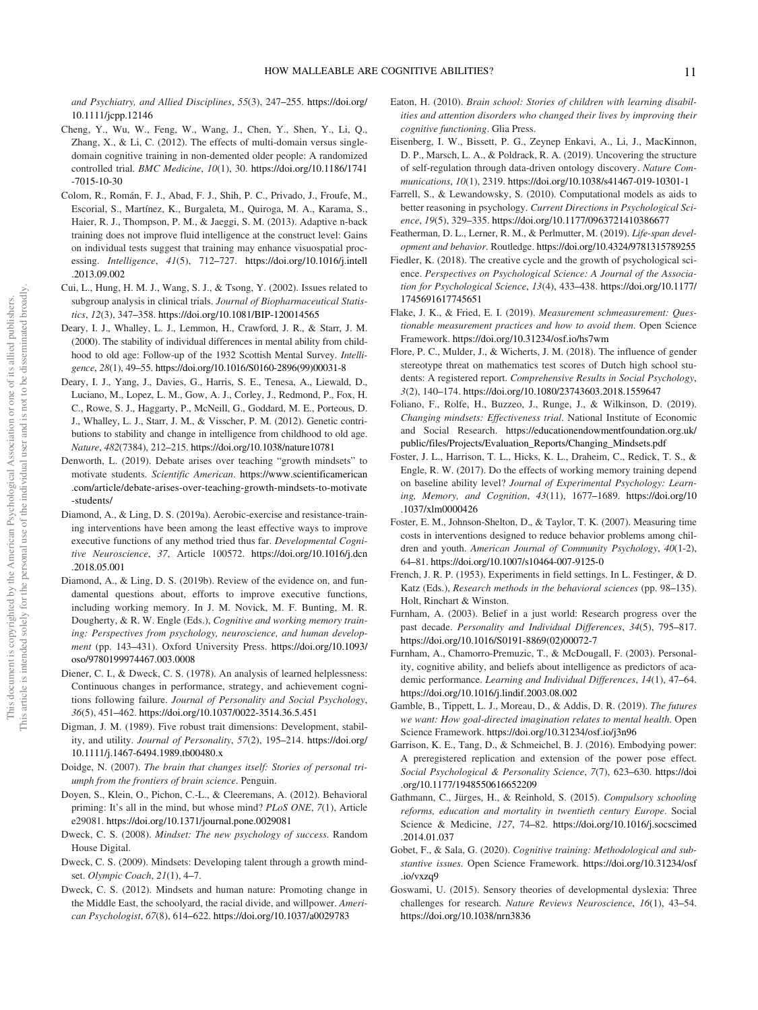*and Psychiatry, and Allied Disciplines*, *55*(3), 247–255. https://doi.org/ 10.1111/jcpp.12146

- Cheng, Y., Wu, W., Feng, W., Wang, J., Chen, Y., Shen, Y., Li, Q., Zhang, X., & Li, C. (2012). The effects of multi-domain versus singledomain cognitive training in non-demented older people: A randomized controlled trial. *BMC Medicine*, *10*(1), 30. https://doi.org/10.1186/1741 -7015-10-30
- Colom, R., Román, F. J., Abad, F. J., Shih, P. C., Privado, J., Froufe, M., Escorial, S., Martínez, K., Burgaleta, M., Quiroga, M. A., Karama, S., Haier, R. J., Thompson, P. M., & Jaeggi, S. M. (2013). Adaptive n-back training does not improve fluid intelligence at the construct level: Gains on individual tests suggest that training may enhance visuospatial processing. *Intelligence*, *41*(5), 712–727. https://doi.org/10.1016/j.intell .2013.09.002
- Cui, L., Hung, H. M. J., Wang, S. J., & Tsong, Y. (2002). Issues related to subgroup analysis in clinical trials. *Journal of Biopharmaceutical Statistics*, *12*(3), 347–358. https://doi.org/10.1081/BIP-120014565
- Deary, I. J., Whalley, L. J., Lemmon, H., Crawford, J. R., & Starr, J. M. (2000). The stability of individual differences in mental ability from childhood to old age: Follow-up of the 1932 Scottish Mental Survey. *Intelligence*, *28*(1), 49–55. https://doi.org/10.1016/S0160-2896(99)00031-8
- Deary, I. J., Yang, J., Davies, G., Harris, S. E., Tenesa, A., Liewald, D., Luciano, M., Lopez, L. M., Gow, A. J., Corley, J., Redmond, P., Fox, H. C., Rowe, S. J., Haggarty, P., McNeill, G., Goddard, M. E., Porteous, D. J., Whalley, L. J., Starr, J. M., & Visscher, P. M. (2012). Genetic contributions to stability and change in intelligence from childhood to old age. *Nature*, *482*(7384), 212–215. https://doi.org/10.1038/nature10781
- Denworth, L. (2019). Debate arises over teaching "growth mindsets" to motivate students. *Scientific American*. https://www.scientificamerican .com/article/debate-arises-over-teaching-growth-mindsets-to-motivate -students/
- Diamond, A., & Ling, D. S. (2019a). Aerobic-exercise and resistance-training interventions have been among the least effective ways to improve executive functions of any method tried thus far. *Developmental Cognitive Neuroscience*, *37*, Article 100572. https://doi.org/10.1016/j.dcn .2018.05.001
- Diamond, A., & Ling, D. S. (2019b). Review of the evidence on, and fundamental questions about, efforts to improve executive functions, including working memory. In J. M. Novick, M. F. Bunting, M. R. Dougherty, & R. W. Engle (Eds.), *Cognitive and working memory training: Perspectives from psychology, neuroscience, and human development* (pp. 143–431). Oxford University Press. https://doi.org/10.1093/ oso/9780199974467.003.0008
- Diener, C. I., & Dweck, C. S. (1978). An analysis of learned helplessness: Continuous changes in performance, strategy, and achievement cognitions following failure. *Journal of Personality and Social Psychology*, *36*(5), 451–462. https://doi.org/10.1037/0022-3514.36.5.451
- Digman, J. M. (1989). Five robust trait dimensions: Development, stability, and utility. *Journal of Personality*, *57*(2), 195–214. https://doi.org/ 10.1111/j.1467-6494.1989.tb00480.x
- Doidge, N. (2007). *The brain that changes itself: Stories of personal triumph from the frontiers of brain science*. Penguin.
- Doyen, S., Klein, O., Pichon, C.-L., & Cleeremans, A. (2012). Behavioral priming: It's all in the mind, but whose mind? *PLoS ONE*, *7*(1), Article e29081. https://doi.org/10.1371/journal.pone.0029081
- Dweck, C. S. (2008). *Mindset: The new psychology of success*. Random House Digital.
- Dweck, C. S. (2009). Mindsets: Developing talent through a growth mindset. *Olympic Coach*, *21*(1), 4–7.
- Dweck, C. S. (2012). Mindsets and human nature: Promoting change in the Middle East, the schoolyard, the racial divide, and willpower. *American Psychologist*, *67*(8), 614–622. https://doi.org/10.1037/a0029783
- Eaton, H. (2010). *Brain school: Stories of children with learning disabilities and attention disorders who changed their lives by improving their cognitive functioning*. Glia Press.
- Eisenberg, I. W., Bissett, P. G., Zeynep Enkavi, A., Li, J., MacKinnon, D. P., Marsch, L. A., & Poldrack, R. A. (2019). Uncovering the structure of self-regulation through data-driven ontology discovery. *Nature Communications*, *10*(1), 2319. https://doi.org/10.1038/s41467-019-10301-1
- Farrell, S., & Lewandowsky, S. (2010). Computational models as aids to better reasoning in psychology. *Current Directions in Psychological Science*, *19*(5), 329–335. https://doi.org/10.1177/0963721410386677
- Featherman, D. L., Lerner, R. M., & Perlmutter, M. (2019). *Life-span development and behavior*. Routledge. https://doi.org/10.4324/9781315789255
- Fiedler, K. (2018). The creative cycle and the growth of psychological science. *Perspectives on Psychological Science: A Journal of the Association for Psychological Science*, *13*(4), 433–438. https://doi.org/10.1177/ 1745691617745651
- Flake, J. K., & Fried, E. I. (2019). *Measurement schmeasurement: Questionable measurement practices and how to avoid them*. Open Science Framework. https://doi.org/10.31234/osf.io/hs7wm
- Flore, P. C., Mulder, J., & Wicherts, J. M. (2018). The influence of gender stereotype threat on mathematics test scores of Dutch high school students: A registered report. *Comprehensive Results in Social Psychology*, *3*(2), 140–174. https://doi.org/10.1080/23743603.2018.1559647
- Foliano, F., Rolfe, H., Buzzeo, J., Runge, J., & Wilkinson, D. (2019). *Changing mindsets: Effectiveness trial*. National Institute of Economic and Social Research. https://educationendowmentfoundation.org.uk/ public/files/Projects/Evaluation\_Reports/Changing\_Mindsets.pdf
- Foster, J. L., Harrison, T. L., Hicks, K. L., Draheim, C., Redick, T. S., & Engle, R. W. (2017). Do the effects of working memory training depend on baseline ability level? *Journal of Experimental Psychology: Learning, Memory, and Cognition*, *43*(11), 1677–1689. https://doi.org/10 .1037/xlm0000426
- Foster, E. M., Johnson-Shelton, D., & Taylor, T. K. (2007). Measuring time costs in interventions designed to reduce behavior problems among children and youth. *American Journal of Community Psychology*, *40*(1-2), 64–81. https://doi.org/10.1007/s10464-007-9125-0
- French, J. R. P. (1953). Experiments in field settings. In L. Festinger, & D. Katz (Eds.), *Research methods in the behavioral sciences* (pp. 98–135). Holt, Rinchart & Winston.
- Furnham, A. (2003). Belief in a just world: Research progress over the past decade. *Personality and Individual Differences*, *34*(5), 795–817. https://doi.org/10.1016/S0191-8869(02)00072-7
- Furnham, A., Chamorro-Premuzic, T., & McDougall, F. (2003). Personality, cognitive ability, and beliefs about intelligence as predictors of academic performance. *Learning and Individual Differences*, *14*(1), 47–64. https://doi.org/10.1016/j.lindif.2003.08.002
- Gamble, B., Tippett, L. J., Moreau, D., & Addis, D. R. (2019). *The futures we want: How goal-directed imagination relates to mental health*. Open Science Framework. https://doi.org/10.31234/osf.io/j3n96
- Garrison, K. E., Tang, D., & Schmeichel, B. J. (2016). Embodying power: A preregistered replication and extension of the power pose effect. *Social Psychological & Personality Science*, *7*(7), 623–630. https://doi .org/10.1177/1948550616652209
- Gathmann, C., Jürges, H., & Reinhold, S. (2015). *Compulsory schooling reforms, education and mortality in twentieth century Europe*. Social Science & Medicine, *127*, 74–82. https://doi.org/10.1016/j.socscimed .2014.01.037
- Gobet, F., & Sala, G. (2020). *Cognitive training: Methodological and substantive issues*. Open Science Framework. https://doi.org/10.31234/osf .io/vxzq9
- Goswami, U. (2015). Sensory theories of developmental dyslexia: Three challenges for research. *Nature Reviews Neuroscience*, *16*(1), 43–54. https://doi.org/10.1038/nrn3836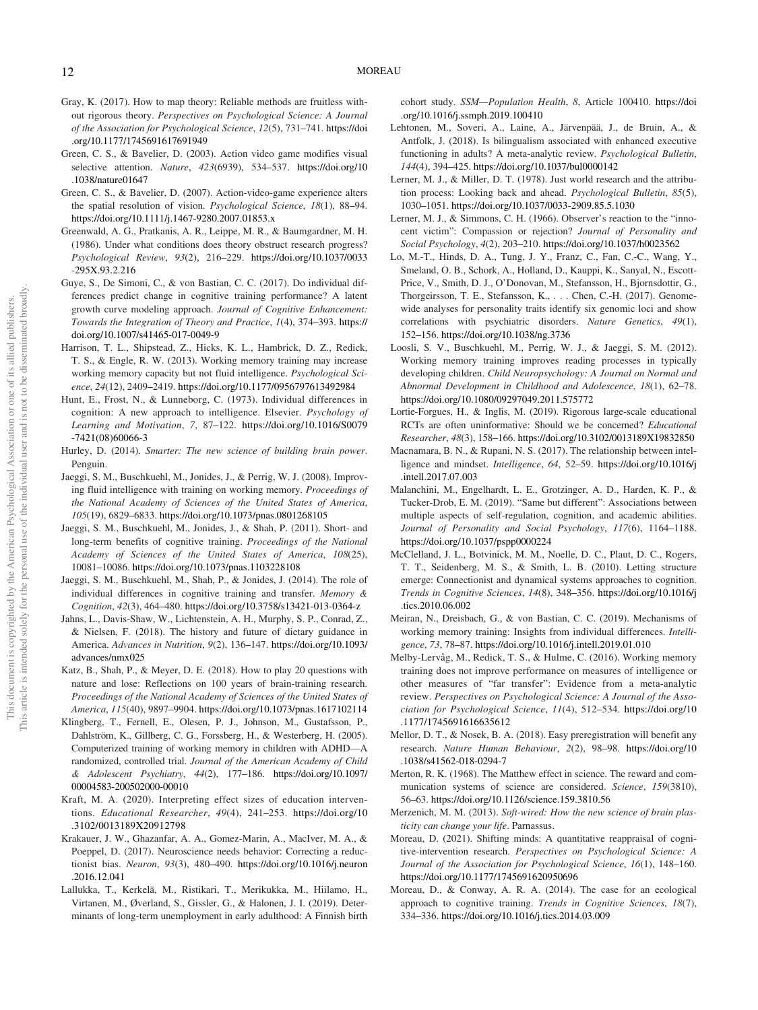- Gray, K. (2017). How to map theory: Reliable methods are fruitless without rigorous theory. *Perspectives on Psychological Science: A Journal of the Association for Psychological Science*, *12*(5), 731–741. https://doi .org/10.1177/1745691617691949
- Green, C. S., & Bavelier, D. (2003). Action video game modifies visual selective attention. *Nature*, *423*(6939), 534–537. https://doi.org/10 .1038/nature01647
- Green, C. S., & Bavelier, D. (2007). Action-video-game experience alters the spatial resolution of vision. *Psychological Science*, *18*(1), 88–94. https://doi.org/10.1111/j.1467-9280.2007.01853.x
- Greenwald, A. G., Pratkanis, A. R., Leippe, M. R., & Baumgardner, M. H. (1986). Under what conditions does theory obstruct research progress? *Psychological Review*, *93*(2), 216–229. https://doi.org/10.1037/0033 -295X.93.2.216
- Guye, S., De Simoni, C., & von Bastian, C. C. (2017). Do individual differences predict change in cognitive training performance? A latent growth curve modeling approach. *Journal of Cognitive Enhancement: Towards the Integration of Theory and Practice*, *1*(4), 374–393. https:// doi.org/10.1007/s41465-017-0049-9
- Harrison, T. L., Shipstead, Z., Hicks, K. L., Hambrick, D. Z., Redick, T. S., & Engle, R. W. (2013). Working memory training may increase working memory capacity but not fluid intelligence. *Psychological Science*, *24*(12), 2409–2419. https://doi.org/10.1177/0956797613492984
- Hunt, E., Frost, N., & Lunneborg, C. (1973). Individual differences in cognition: A new approach to intelligence. Elsevier. *Psychology of Learning and Motivation*, *7*, 87–122. https://doi.org/10.1016/S0079 -7421(08)60066-3
- Hurley, D. (2014). *Smarter: The new science of building brain power*. Penguin.
- Jaeggi, S. M., Buschkuehl, M., Jonides, J., & Perrig, W. J. (2008). Improving fluid intelligence with training on working memory. *Proceedings of the National Academy of Sciences of the United States of America*, *105*(19), 6829–6833. https://doi.org/10.1073/pnas.0801268105
- Jaeggi, S. M., Buschkuehl, M., Jonides, J., & Shah, P. (2011). Short- and long-term benefits of cognitive training. *Proceedings of the National Academy of Sciences of the United States of America*, *108*(25), 10081–10086. https://doi.org/10.1073/pnas.1103228108
- Jaeggi, S. M., Buschkuehl, M., Shah, P., & Jonides, J. (2014). The role of individual differences in cognitive training and transfer. *Memory & Cognition*, *42*(3), 464–480. https://doi.org/10.3758/s13421-013-0364-z
- Jahns, L., Davis-Shaw, W., Lichtenstein, A. H., Murphy, S. P., Conrad, Z., & Nielsen, F. (2018). The history and future of dietary guidance in America. *Advances in Nutrition*, *9*(2), 136–147. https://doi.org/10.1093/ advances/nmx025
- Katz, B., Shah, P., & Meyer, D. E. (2018). How to play 20 questions with nature and lose: Reflections on 100 years of brain-training research. *Proceedings of the National Academy of Sciences of the United States of America*, *115*(40), 9897–9904. https://doi.org/10.1073/pnas.1617102114
- Klingberg, T., Fernell, E., Olesen, P. J., Johnson, M., Gustafsson, P., Dahlström, K., Gillberg, C. G., Forssberg, H., & Westerberg, H. (2005). Computerized training of working memory in children with ADHD—A randomized, controlled trial. *Journal of the American Academy of Child & Adolescent Psychiatry*, *44*(2), 177–186. https://doi.org/10.1097/ 00004583-200502000-00010
- Kraft, M. A. (2020). Interpreting effect sizes of education interventions. *Educational Researcher*, *49*(4), 241–253. https://doi.org/10 .3102/0013189X20912798
- Krakauer, J. W., Ghazanfar, A. A., Gomez-Marin, A., MacIver, M. A., & Poeppel, D. (2017). Neuroscience needs behavior: Correcting a reductionist bias. *Neuron*, *93*(3), 480–490. https://doi.org/10.1016/j.neuron .2016.12.041
- Lallukka, T., Kerkelä, M., Ristikari, T., Merikukka, M., Hiilamo, H., Virtanen, M., Øverland, S., Gissler, G., & Halonen, J. I. (2019). Determinants of long-term unemployment in early adulthood: A Finnish birth

cohort study. *SSM*—*Population Health*, *8*, Article 100410. https://doi .org/10.1016/j.ssmph.2019.100410

- Lehtonen, M., Soveri, A., Laine, A., Järvenpää, J., de Bruin, A., & Antfolk, J. (2018). Is bilingualism associated with enhanced executive functioning in adults? A meta-analytic review. *Psychological Bulletin*, *144*(4), 394–425. https://doi.org/10.1037/bul0000142
- Lerner, M. J., & Miller, D. T. (1978). Just world research and the attribution process: Looking back and ahead. *Psychological Bulletin*, *85*(5), 1030–1051. https://doi.org/10.1037/0033-2909.85.5.1030
- Lerner, M. J., & Simmons, C. H. (1966). Observer's reaction to the "innocent victim": Compassion or rejection? *Journal of Personality and Social Psychology*, *4*(2), 203–210. https://doi.org/10.1037/h0023562
- Lo, M.-T., Hinds, D. A., Tung, J. Y., Franz, C., Fan, C.-C., Wang, Y., Smeland, O. B., Schork, A., Holland, D., Kauppi, K., Sanyal, N., Escott-Price, V., Smith, D. J., O'Donovan, M., Stefansson, H., Bjornsdottir, G., Thorgeirsson, T. E., Stefansson, K., . . . Chen, C.-H. (2017). Genomewide analyses for personality traits identify six genomic loci and show correlations with psychiatric disorders. *Nature Genetics*, *49*(1), 152–156. https://doi.org/10.1038/ng.3736
- Loosli, S. V., Buschkuehl, M., Perrig, W. J., & Jaeggi, S. M. (2012). Working memory training improves reading processes in typically developing children. *Child Neuropsychology: A Journal on Normal and Abnormal Development in Childhood and Adolescence*, *18*(1), 62–78. https://doi.org/10.1080/09297049.2011.575772
- Lortie-Forgues, H., & Inglis, M. (2019). Rigorous large-scale educational RCTs are often uninformative: Should we be concerned? *Educational Researcher*, *48*(3), 158–166. https://doi.org/10.3102/0013189X19832850
- Macnamara, B. N., & Rupani, N. S. (2017). The relationship between intelligence and mindset. *Intelligence*, *64*, 52–59. https://doi.org/10.1016/j .intell.2017.07.003
- Malanchini, M., Engelhardt, L. E., Grotzinger, A. D., Harden, K. P., & Tucker-Drob, E. M. (2019). "Same but different": Associations between multiple aspects of self-regulation, cognition, and academic abilities. *Journal of Personality and Social Psychology*, *117*(6), 1164–1188. https://doi.org/10.1037/pspp0000224
- McClelland, J. L., Botvinick, M. M., Noelle, D. C., Plaut, D. C., Rogers, T. T., Seidenberg, M. S., & Smith, L. B. (2010). Letting structure emerge: Connectionist and dynamical systems approaches to cognition. *Trends in Cognitive Sciences*, *14*(8), 348–356. https://doi.org/10.1016/j .tics.2010.06.002
- Meiran, N., Dreisbach, G., & von Bastian, C. C. (2019). Mechanisms of working memory training: Insights from individual differences. *Intelligence*, *73*, 78–87. https://doi.org/10.1016/j.intell.2019.01.010
- Melby-Lervåg, M., Redick, T. S., & Hulme, C. (2016). Working memory training does not improve performance on measures of intelligence or other measures of "far transfer": Evidence from a meta-analytic review. *Perspectives on Psychological Science: A Journal of the Association for Psychological Science*, *11*(4), 512–534. https://doi.org/10 .1177/1745691616635612
- Mellor, D. T., & Nosek, B. A. (2018). Easy preregistration will benefit any research. *Nature Human Behaviour*, *2*(2), 98–98. https://doi.org/10 .1038/s41562-018-0294-7
- Merton, R. K. (1968). The Matthew effect in science. The reward and communication systems of science are considered. *Science*, *159*(3810), 56–63. https://doi.org/10.1126/science.159.3810.56
- Merzenich, M. M. (2013). *Soft-wired: How the new science of brain plasticity can change your life*. Parnassus.
- Moreau, D. (2021). Shifting minds: A quantitative reappraisal of cognitive-intervention research. *Perspectives on Psychological Science: A Journal of the Association for Psychological Science*, *16*(1), 148–160. https://doi.org/10.1177/1745691620950696
- Moreau, D., & Conway, A. R. A. (2014). The case for an ecological approach to cognitive training. *Trends in Cognitive Sciences*, *18*(7), 334–336. https://doi.org/10.1016/j.tics.2014.03.009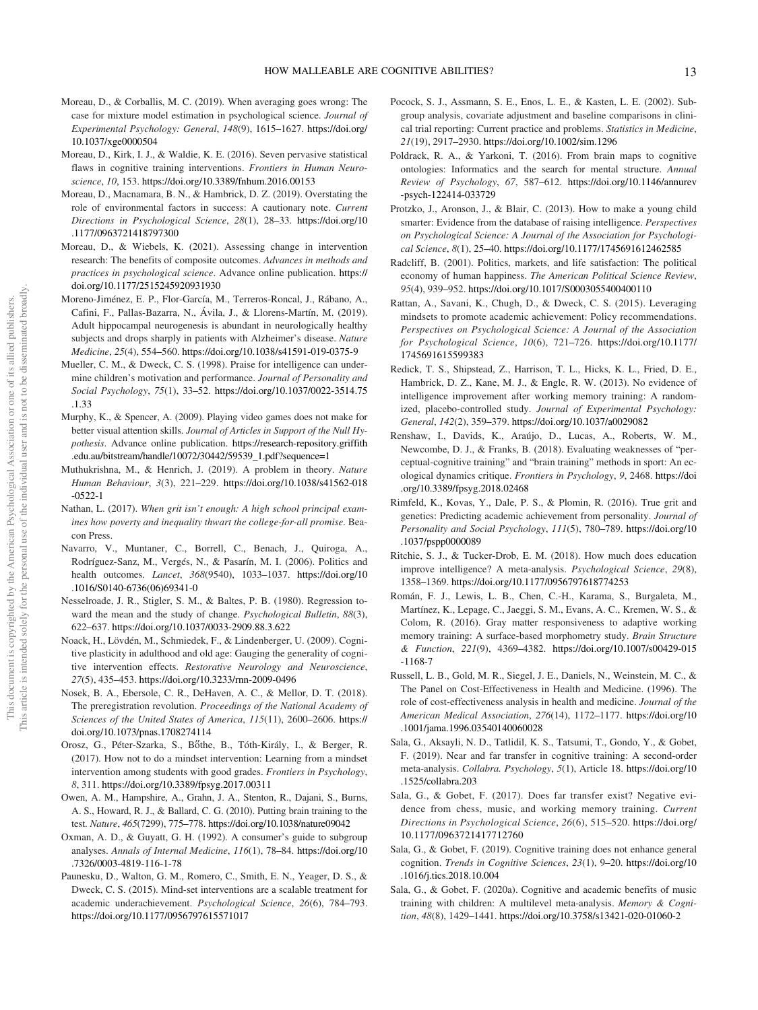- Moreau, D., & Corballis, M. C. (2019). When averaging goes wrong: The case for mixture model estimation in psychological science. *Journal of Experimental Psychology: General*, *148*(9), 1615–1627. https://doi.org/ 10.1037/xge0000504
- Moreau, D., Kirk, I. J., & Waldie, K. E. (2016). Seven pervasive statistical flaws in cognitive training interventions. *Frontiers in Human Neuroscience*, *10*, 153. https://doi.org/10.3389/fnhum.2016.00153
- Moreau, D., Macnamara, B. N., & Hambrick, D. Z. (2019). Overstating the role of environmental factors in success: A cautionary note. *Current Directions in Psychological Science*, *28*(1), 28–33. https://doi.org/10 .1177/0963721418797300
- Moreau, D., & Wiebels, K. (2021). Assessing change in intervention research: The benefits of composite outcomes. *Advances in methods and practices in psychological science*. Advance online publication. https:// doi.org/10.1177/2515245920931930
- Moreno-Jiménez, E. P., Flor-García, M., Terreros-Roncal, J., Rábano, A., Cafini, F., Pallas-Bazarra, N., Ávila, J., & Llorens-Martín, M. (2019). Adult hippocampal neurogenesis is abundant in neurologically healthy subjects and drops sharply in patients with Alzheimer's disease. *Nature Medicine*, *25*(4), 554–560. https://doi.org/10.1038/s41591-019-0375-9
- Mueller, C. M., & Dweck, C. S. (1998). Praise for intelligence can undermine children's motivation and performance. *Journal of Personality and Social Psychology*, *75*(1), 33–52. https://doi.org/10.1037/0022-3514.75 .1.33
- Murphy, K., & Spencer, A. (2009). Playing video games does not make for better visual attention skills. *Journal of Articles in Support of the Null Hypothesis*. Advance online publication. https://research-repository.griffith .edu.au/bitstream/handle/10072/30442/59539\_1.pdf?sequence=1
- Muthukrishna, M., & Henrich, J. (2019). A problem in theory. *Nature Human Behaviour*, *3*(3), 221–229. https://doi.org/10.1038/s41562-018 -0522-1
- Nathan, L. (2017). *When grit isn*'*t enough: A high school principal examines how poverty and inequality thwart the college-for-all promise*. Beacon Press.
- Navarro, V., Muntaner, C., Borrell, C., Benach, J., Quiroga, A., Rodríguez-Sanz, M., Vergés, N., & Pasarín, M. I. (2006). Politics and health outcomes. *Lancet*, *368*(9540), 1033–1037. https://doi.org/10 .1016/S0140-6736(06)69341-0
- Nesselroade, J. R., Stigler, S. M., & Baltes, P. B. (1980). Regression toward the mean and the study of change. *Psychological Bulletin*, *88*(3), 622–637. https://doi.org/10.1037/0033-2909.88.3.622
- Noack, H., Lövdén, M., Schmiedek, F., & Lindenberger, U. (2009). Cognitive plasticity in adulthood and old age: Gauging the generality of cognitive intervention effects. *Restorative Neurology and Neuroscience*, *27*(5), 435–453. https://doi.org/10.3233/rnn-2009-0496
- Nosek, B. A., Ebersole, C. R., DeHaven, A. C., & Mellor, D. T. (2018). The preregistration revolution. *Proceedings of the National Academy of Sciences of the United States of America*, *115*(11), 2600–2606. https:// doi.org/10.1073/pnas.1708274114
- Orosz, G., Péter-Szarka, S., Bőthe, B., Tóth-Király, I., & Berger, R. (2017). How not to do a mindset intervention: Learning from a mindset intervention among students with good grades. *Frontiers in Psychology*, *8*, 311. https://doi.org/10.3389/fpsyg.2017.00311
- Owen, A. M., Hampshire, A., Grahn, J. A., Stenton, R., Dajani, S., Burns, A. S., Howard, R. J., & Ballard, C. G. (2010). Putting brain training to the test. *Nature*, *465*(7299), 775–778. https://doi.org/10.1038/nature09042
- Oxman, A. D., & Guyatt, G. H. (1992). A consumer's guide to subgroup analyses. *Annals of Internal Medicine*, *116*(1), 78–84. https://doi.org/10 .7326/0003-4819-116-1-78
- Paunesku, D., Walton, G. M., Romero, C., Smith, E. N., Yeager, D. S., & Dweck, C. S. (2015). Mind-set interventions are a scalable treatment for academic underachievement. *Psychological Science*, *26*(6), 784–793. https://doi.org/10.1177/0956797615571017
- Pocock, S. J., Assmann, S. E., Enos, L. E., & Kasten, L. E. (2002). Subgroup analysis, covariate adjustment and baseline comparisons in clinical trial reporting: Current practice and problems. *Statistics in Medicine*, *21*(19), 2917–2930. https://doi.org/10.1002/sim.1296
- Poldrack, R. A., & Yarkoni, T. (2016). From brain maps to cognitive ontologies: Informatics and the search for mental structure. *Annual Review of Psychology*, *67*, 587–612. https://doi.org/10.1146/annurev -psych-122414-033729
- Protzko, J., Aronson, J., & Blair, C. (2013). How to make a young child smarter: Evidence from the database of raising intelligence. *Perspectives on Psychological Science: A Journal of the Association for Psychological Science*, *8*(1), 25–40. https://doi.org/10.1177/1745691612462585
- Radcliff, B. (2001). Politics, markets, and life satisfaction: The political economy of human happiness. *The American Political Science Review*, *95*(4), 939–952. https://doi.org/10.1017/S0003055400400110
- Rattan, A., Savani, K., Chugh, D., & Dweck, C. S. (2015). Leveraging mindsets to promote academic achievement: Policy recommendations. *Perspectives on Psychological Science: A Journal of the Association for Psychological Science*, *10*(6), 721–726. https://doi.org/10.1177/ 1745691615599383
- Redick, T. S., Shipstead, Z., Harrison, T. L., Hicks, K. L., Fried, D. E., Hambrick, D. Z., Kane, M. J., & Engle, R. W. (2013). No evidence of intelligence improvement after working memory training: A randomized, placebo-controlled study. *Journal of Experimental Psychology: General*, *142*(2), 359–379. https://doi.org/10.1037/a0029082
- Renshaw, I., Davids, K., Araújo, D., Lucas, A., Roberts, W. M., Newcombe, D. J., & Franks, B. (2018). Evaluating weaknesses of "perceptual-cognitive training" and "brain training" methods in sport: An ecological dynamics critique. *Frontiers in Psychology*, *9*, 2468. https://doi .org/10.3389/fpsyg.2018.02468
- Rimfeld, K., Kovas, Y., Dale, P. S., & Plomin, R. (2016). True grit and genetics: Predicting academic achievement from personality. *Journal of Personality and Social Psychology*, *111*(5), 780–789. https://doi.org/10 .1037/pspp0000089
- Ritchie, S. J., & Tucker-Drob, E. M. (2018). How much does education improve intelligence? A meta-analysis. *Psychological Science*, *29*(8), 1358–1369. https://doi.org/10.1177/0956797618774253
- Román, F. J., Lewis, L. B., Chen, C.-H., Karama, S., Burgaleta, M., Martínez, K., Lepage, C., Jaeggi, S. M., Evans, A. C., Kremen, W. S., & Colom, R. (2016). Gray matter responsiveness to adaptive working memory training: A surface-based morphometry study. *Brain Structure & Function*, *221*(9), 4369–4382. https://doi.org/10.1007/s00429-015 -1168-7
- Russell, L. B., Gold, M. R., Siegel, J. E., Daniels, N., Weinstein, M. C., & The Panel on Cost-Effectiveness in Health and Medicine. (1996). The role of cost-effectiveness analysis in health and medicine. *Journal of the American Medical Association*, *276*(14), 1172–1177. https://doi.org/10 .1001/jama.1996.03540140060028
- Sala, G., Aksayli, N. D., Tatlidil, K. S., Tatsumi, T., Gondo, Y., & Gobet, F. (2019). Near and far transfer in cognitive training: A second-order meta-analysis. *Collabra. Psychology*, *5*(1), Article 18. https://doi.org/10 .1525/collabra.203
- Sala, G., & Gobet, F. (2017). Does far transfer exist? Negative evidence from chess, music, and working memory training. *Current Directions in Psychological Science*, *26*(6), 515–520. https://doi.org/ 10.1177/0963721417712760
- Sala, G., & Gobet, F. (2019). Cognitive training does not enhance general cognition. *Trends in Cognitive Sciences*, *23*(1), 9–20. https://doi.org/10 .1016/j.tics.2018.10.004
- Sala, G., & Gobet, F. (2020a). Cognitive and academic benefits of music training with children: A multilevel meta-analysis. *Memory & Cognition*, *48*(8), 1429–1441. https://doi.org/10.3758/s13421-020-01060-2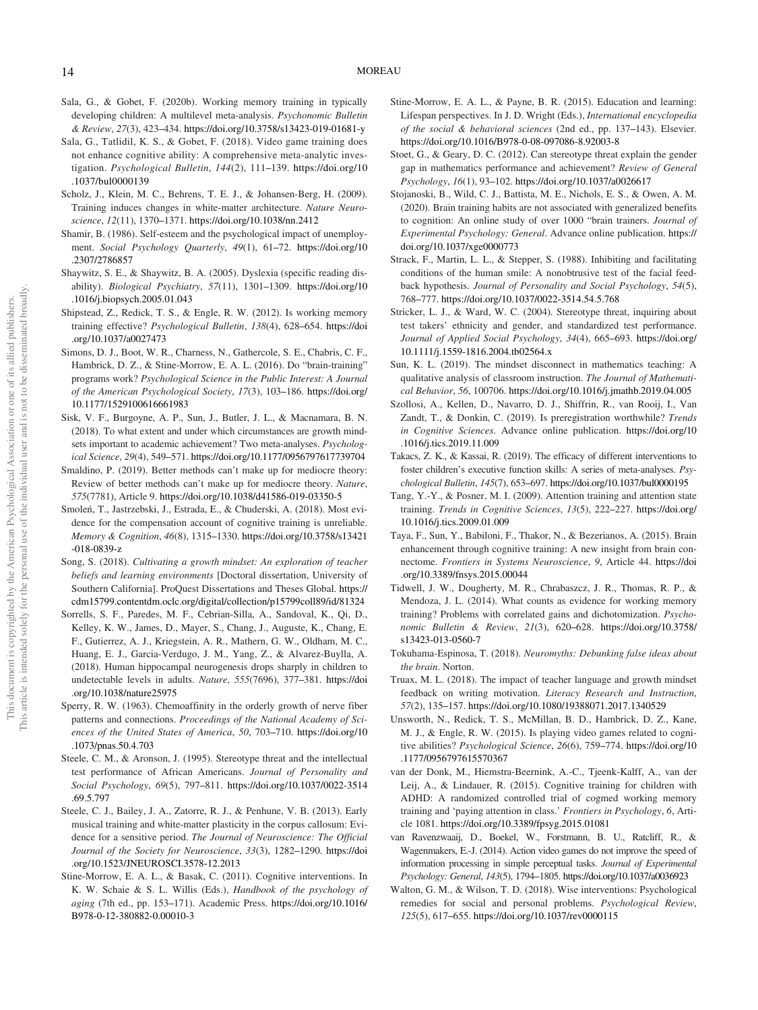- Sala, G., & Gobet, F. (2020b). Working memory training in typically developing children: A multilevel meta-analysis. *Psychonomic Bulletin & Review*, *27*(3), 423–434. https://doi.org/10.3758/s13423-019-01681-y
- Sala, G., Tatlidil, K. S., & Gobet, F. (2018). Video game training does not enhance cognitive ability: A comprehensive meta-analytic investigation. *Psychological Bulletin*, *144*(2), 111–139. https://doi.org/10 .1037/bul0000139
- Scholz, J., Klein, M. C., Behrens, T. E. J., & Johansen-Berg, H. (2009). Training induces changes in white-matter architecture. *Nature Neuroscience*, *12*(11), 1370–1371. https://doi.org/10.1038/nn.2412
- Shamir, B. (1986). Self-esteem and the psychological impact of unemployment. *Social Psychology Quarterly*, *49*(1), 61–72. https://doi.org/10 .2307/2786857
- Shaywitz, S. E., & Shaywitz, B. A. (2005). Dyslexia (specific reading disability). *Biological Psychiatry*, *57*(11), 1301–1309. https://doi.org/10 .1016/j.biopsych.2005.01.043
- Shipstead, Z., Redick, T. S., & Engle, R. W. (2012). Is working memory training effective? *Psychological Bulletin*, *138*(4), 628–654. https://doi .org/10.1037/a0027473
- Simons, D. J., Boot, W. R., Charness, N., Gathercole, S. E., Chabris, C. F., Hambrick, D. Z., & Stine-Morrow, E. A. L. (2016). Do "brain-training" programs work? *Psychological Science in the Public Interest: A Journal of the American Psychological Society*, *17*(3), 103–186. https://doi.org/ 10.1177/1529100616661983
- Sisk, V. F., Burgoyne, A. P., Sun, J., Butler, J. L., & Macnamara, B. N. (2018). To what extent and under which circumstances are growth mindsets important to academic achievement? Two meta-analyses. *Psychological Science*, *29*(4), 549–571. https://doi.org/10.1177/0956797617739704
- Smaldino, P. (2019). Better methods can't make up for mediocre theory: Review of better methods can't make up for mediocre theory. *Nature*, *575*(7781), Article 9. https://doi.org/10.1038/d41586-019-03350-5
- Smoleń, T., Jastrzebski, J., Estrada, E., & Chuderski, A. (2018). Most evidence for the compensation account of cognitive training is unreliable. *Memory & Cognition*, *46*(8), 1315–1330. https://doi.org/10.3758/s13421 -018-0839-z
- Song, S. (2018). *Cultivating a growth mindset: An exploration of teacher beliefs and learning environments* [Doctoral dissertation, University of Southern California]. ProQuest Dissertations and Theses Global. https:// cdm15799.contentdm.oclc.org/digital/collection/p15799coll89/id/81324
- Sorrells, S. F., Paredes, M. F., Cebrian-Silla, A., Sandoval, K., Qi, D., Kelley, K. W., James, D., Mayer, S., Chang, J., Auguste, K., Chang, E. F., Gutierrez, A. J., Kriegstein, A. R., Mathern, G. W., Oldham, M. C., Huang, E. J., Garcia-Verdugo, J. M., Yang, Z., & Alvarez-Buylla, A. (2018). Human hippocampal neurogenesis drops sharply in children to undetectable levels in adults. *Nature*, *555*(7696), 377–381. https://doi .org/10.1038/nature25975
- Sperry, R. W. (1963). Chemoaffinity in the orderly growth of nerve fiber patterns and connections. *Proceedings of the National Academy of Sciences of the United States of America*, *50*, 703–710. https://doi.org/10 .1073/pnas.50.4.703
- Steele, C. M., & Aronson, J. (1995). Stereotype threat and the intellectual test performance of African Americans. *Journal of Personality and Social Psychology*, *69*(5), 797–811. https://doi.org/10.1037/0022-3514 .69.5.797
- Steele, C. J., Bailey, J. A., Zatorre, R. J., & Penhune, V. B. (2013). Early musical training and white-matter plasticity in the corpus callosum: Evidence for a sensitive period. *The Journal of Neuroscience: The Official Journal of the Society for Neuroscience*, *33*(3), 1282–1290. https://doi .org/10.1523/JNEUROSCI.3578-12.2013
- Stine-Morrow, E. A. L., & Basak, C. (2011). Cognitive interventions. In K. W. Schaie & S. L. Willis (Eds.), *Handbook of the psychology of aging* (7th ed., pp. 153–171). Academic Press. https://doi.org/10.1016/ B978-0-12-380882-0.00010-3
- Stine-Morrow, E. A. L., & Payne, B. R. (2015). Education and learning: Lifespan perspectives. In J. D. Wright (Eds.), *International encyclopedia of the social & behavioral sciences* (2nd ed., pp. 137–143). Elsevier. https://doi.org/10.1016/B978-0-08-097086-8.92003-8
- Stoet, G., & Geary, D. C. (2012). Can stereotype threat explain the gender gap in mathematics performance and achievement? *Review of General Psychology*, *16*(1), 93–102. https://doi.org/10.1037/a0026617
- Stojanoski, B., Wild, C. J., Battista, M. E., Nichols, E. S., & Owen, A. M. (2020). Brain training habits are not associated with generalized benefits to cognition: An online study of over 1000 "brain trainers. *Journal of Experimental Psychology: General*. Advance online publication. https:// doi.org/10.1037/xge0000773
- Strack, F., Martin, L. L., & Stepper, S. (1988). Inhibiting and facilitating conditions of the human smile: A nonobtrusive test of the facial feedback hypothesis. *Journal of Personality and Social Psychology*, *54*(5), 768–777. https://doi.org/10.1037/0022-3514.54.5.768
- Stricker, L. J., & Ward, W. C. (2004). Stereotype threat, inquiring about test takers' ethnicity and gender, and standardized test performance. *Journal of Applied Social Psychology*, *34*(4), 665–693. https://doi.org/ 10.1111/j.1559-1816.2004.tb02564.x
- Sun, K. L. (2019). The mindset disconnect in mathematics teaching: A qualitative analysis of classroom instruction. *The Journal of Mathematical Behavior*, *56*, 100706. https://doi.org/10.1016/j.jmathb.2019.04.005
- Szollosi, A., Kellen, D., Navarro, D. J., Shiffrin, R., van Rooij, I., Van Zandt, T., & Donkin, C. (2019). Is preregistration worthwhile? *Trends in Cognitive Sciences*. Advance online publication. https://doi.org/10 .1016/j.tics.2019.11.009
- Takacs, Z. K., & Kassai, R. (2019). The efficacy of different interventions to foster children's executive function skills: A series of meta-analyses. *Psychological Bulletin*, *145*(7), 653–697. https://doi.org/10.1037/bul0000195
- Tang, Y.-Y., & Posner, M. I. (2009). Attention training and attention state training. *Trends in Cognitive Sciences*, *13*(5), 222–227. https://doi.org/ 10.1016/j.tics.2009.01.009
- Taya, F., Sun, Y., Babiloni, F., Thakor, N., & Bezerianos, A. (2015). Brain enhancement through cognitive training: A new insight from brain connectome. *Frontiers in Systems Neuroscience*, *9*, Article 44. https://doi .org/10.3389/fnsys.2015.00044
- Tidwell, J. W., Dougherty, M. R., Chrabaszcz, J. R., Thomas, R. P., & Mendoza, J. L. (2014). What counts as evidence for working memory training? Problems with correlated gains and dichotomization. *Psychonomic Bulletin & Review*, *21*(3), 620–628. https://doi.org/10.3758/ s13423-013-0560-7
- Tokuhama-Espinosa, T. (2018). *Neuromyths: Debunking false ideas about the brain*. Norton.
- Truax, M. L. (2018). The impact of teacher language and growth mindset feedback on writing motivation. *Literacy Research and Instruction*, *57*(2), 135–157. https://doi.org/10.1080/19388071.2017.1340529
- Unsworth, N., Redick, T. S., McMillan, B. D., Hambrick, D. Z., Kane, M. J., & Engle, R. W. (2015). Is playing video games related to cognitive abilities? *Psychological Science*, *26*(6), 759–774. https://doi.org/10 .1177/0956797615570367
- van der Donk, M., Hiemstra-Beernink, A.-C., Tjeenk-Kalff, A., van der Leij, A., & Lindauer, R. (2015). Cognitive training for children with ADHD: A randomized controlled trial of cogmed working memory training and 'paying attention in class.' *Frontiers in Psychology*, *6*, Article 1081. https://doi.org/10.3389/fpsyg.2015.01081
- van Ravenzwaaij, D., Boekel, W., Forstmann, B. U., Ratcliff, R., & Wagenmakers, E.-J. (2014). Action video games do not improve the speed of information processing in simple perceptual tasks. *Journal of Experimental Psychology: General*, *143*(5), 1794–1805. https://doi.org/10.1037/a0036923
- Walton, G. M., & Wilson, T. D. (2018). Wise interventions: Psychological remedies for social and personal problems. *Psychological Review*, *125*(5), 617–655. https://doi.org/10.1037/rev0000115